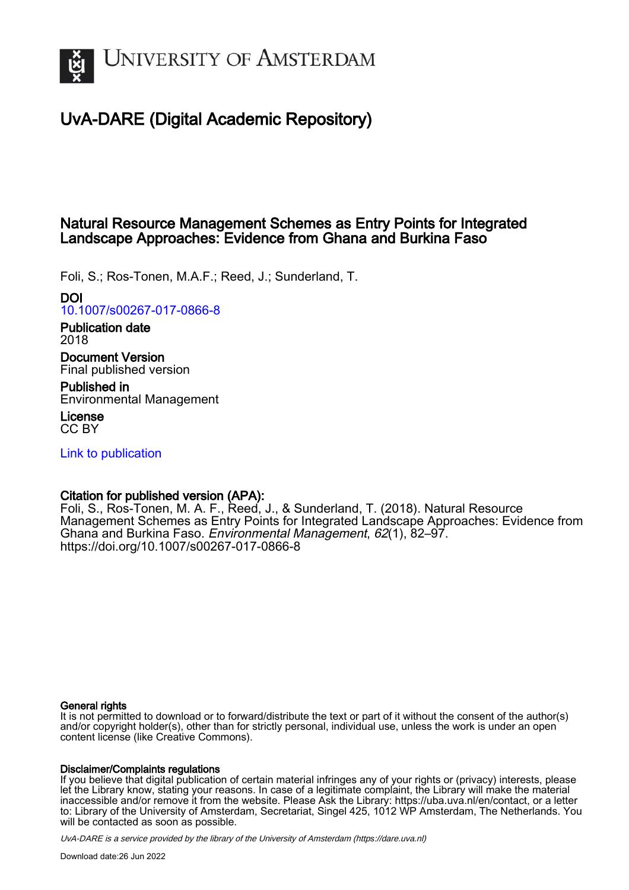

# UvA-DARE (Digital Academic Repository)

# Natural Resource Management Schemes as Entry Points for Integrated Landscape Approaches: Evidence from Ghana and Burkina Faso

Foli, S.; Ros-Tonen, M.A.F.; Reed, J.; Sunderland, T.

# DOI

[10.1007/s00267-017-0866-8](https://doi.org/10.1007/s00267-017-0866-8)

Publication date 2018

Document Version Final published version

Published in Environmental Management

License CC BY

[Link to publication](https://dare.uva.nl/personal/pure/en/publications/natural-resource-management-schemes-as-entry-points-for-integrated-landscape-approaches-evidence-from-ghana-and-burkina-faso(32028627-8ef9-4a94-8ff4-d8be331e86c5).html)

# Citation for published version (APA):

Foli, S., Ros-Tonen, M. A. F., Reed, J., & Sunderland, T. (2018). Natural Resource Management Schemes as Entry Points for Integrated Landscape Approaches: Evidence from Ghana and Burkina Faso. Environmental Management, 62(1), 82–97. <https://doi.org/10.1007/s00267-017-0866-8>

# General rights

It is not permitted to download or to forward/distribute the text or part of it without the consent of the author(s) and/or copyright holder(s), other than for strictly personal, individual use, unless the work is under an open content license (like Creative Commons).

# Disclaimer/Complaints regulations

If you believe that digital publication of certain material infringes any of your rights or (privacy) interests, please let the Library know, stating your reasons. In case of a legitimate complaint, the Library will make the material inaccessible and/or remove it from the website. Please Ask the Library: https://uba.uva.nl/en/contact, or a letter to: Library of the University of Amsterdam, Secretariat, Singel 425, 1012 WP Amsterdam, The Netherlands. You will be contacted as soon as possible.

UvA-DARE is a service provided by the library of the University of Amsterdam (http*s*://dare.uva.nl)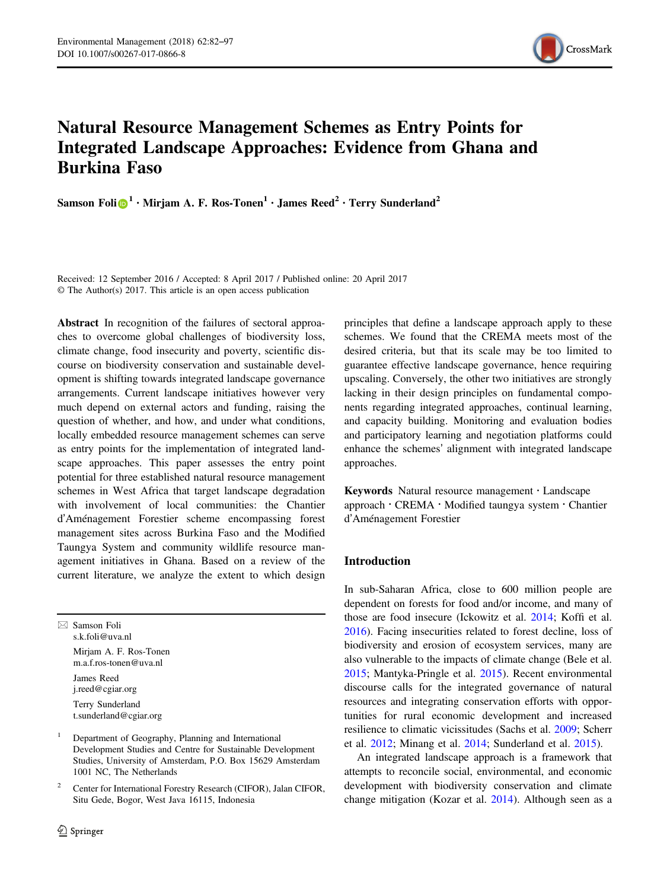

# Natural Resource Management Schemes as Entry Points for Integrated Landscape Approaches: Evidence from Ghana and Burkina Faso

Samson Foli $\bigcirc^{1}\cdot$  $\bigcirc^{1}\cdot$  $\bigcirc^{1}\cdot$  Mirjam A. F. Ros-Tonen $^{1}\cdot$  James Reed $^{2}\cdot$  Terry Sunderland $^{2}$ 

Received: 12 September 2016 / Accepted: 8 April 2017 / Published online: 20 April 2017 © The Author(s) 2017. This article is an open access publication

Abstract In recognition of the failures of sectoral approaches to overcome global challenges of biodiversity loss, climate change, food insecurity and poverty, scientific discourse on biodiversity conservation and sustainable development is shifting towards integrated landscape governance arrangements. Current landscape initiatives however very much depend on external actors and funding, raising the question of whether, and how, and under what conditions, locally embedded resource management schemes can serve as entry points for the implementation of integrated landscape approaches. This paper assesses the entry point potential for three established natural resource management schemes in West Africa that target landscape degradation with involvement of local communities: the Chantier d'Aménagement Forestier scheme encompassing forest management sites across Burkina Faso and the Modified Taungya System and community wildlife resource management initiatives in Ghana. Based on a review of the current literature, we analyze the extent to which design

 $\boxtimes$  Samson Foli [s.k.foli@uva.nl](mailto:s.k.foli@uva.nl) Mirjam A. F. Ros-Tonen [m.a.f.ros-tonen@uva.nl](mailto:m.a.f.rosnen@uva.nl) James Reed [j.reed@cgiar.org](mailto:j.reed@cgiar.org) Terry Sunderland [t.sunderland@cgiar.org](mailto:t.sunderland@cgiar.org)

<sup>1</sup> Department of Geography, Planning and International Development Studies and Centre for Sustainable Development Studies, University of Amsterdam, P.O. Box 15629 Amsterdam 1001 NC, The Netherlands

<sup>2</sup> Center for International Forestry Research (CIFOR), Jalan CIFOR, Situ Gede, Bogor, West Java 16115, Indonesia

principles that define a landscape approach apply to these schemes. We found that the CREMA meets most of the desired criteria, but that its scale may be too limited to guarantee effective landscape governance, hence requiring upscaling. Conversely, the other two initiatives are strongly lacking in their design principles on fundamental components regarding integrated approaches, continual learning, and capacity building. Monitoring and evaluation bodies and participatory learning and negotiation platforms could enhance the schemes' alignment with integrated landscape approaches.

Keywords Natural resource management • Landscape approach • CREMA • Modified taungya system • Chantier d'Aménagement Forestier

# Introduction

In sub-Saharan Africa, close to 600 million people are dependent on forests for food and/or income, and many of those are food insecure (Ickowitz et al. [2014](#page-14-0); Koffi et al. [2016](#page-14-0)). Facing insecurities related to forest decline, loss of biodiversity and erosion of ecosystem services, many are also vulnerable to the impacts of climate change (Bele et al. [2015](#page-13-0); Mantyka-Pringle et al. [2015\)](#page-14-0). Recent environmental discourse calls for the integrated governance of natural resources and integrating conservation efforts with opportunities for rural economic development and increased resilience to climatic vicissitudes (Sachs et al. [2009;](#page-15-0) Scherr et al. [2012](#page-15-0); Minang et al. [2014;](#page-15-0) Sunderland et al. [2015\)](#page-15-0).

An integrated landscape approach is a framework that attempts to reconcile social, environmental, and economic development with biodiversity conservation and climate change mitigation (Kozar et al. [2014\)](#page-14-0). Although seen as a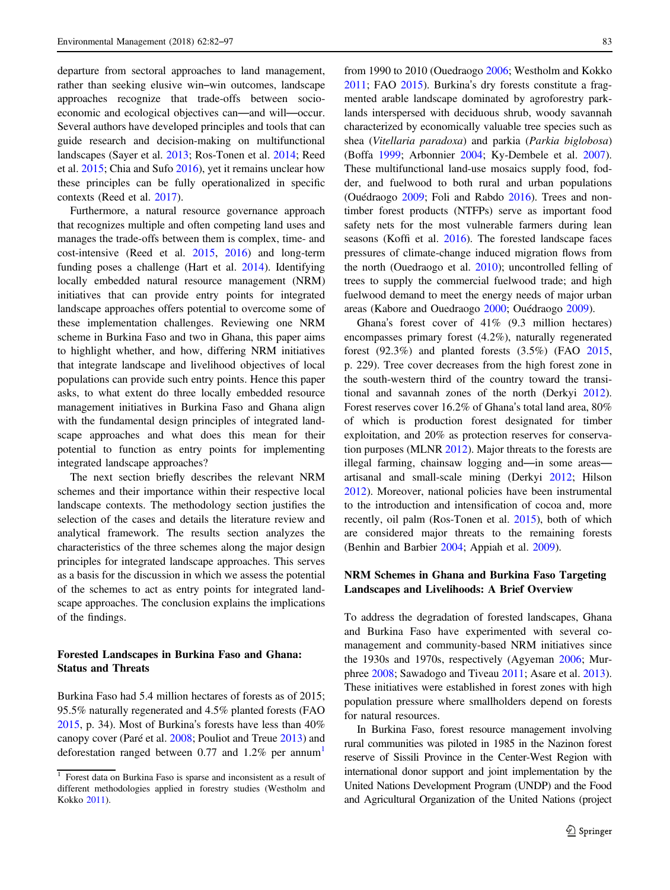departure from sectoral approaches to land management, rather than seeking elusive win–win outcomes, landscape approaches recognize that trade-offs between socioeconomic and ecological objectives can—and will—occur. Several authors have developed principles and tools that can guide research and decision-making on multifunctional landscapes (Sayer et al. [2013;](#page-15-0) Ros-Tonen et al. [2014](#page-15-0); Reed et al. [2015](#page-15-0); Chia and Sufo [2016\)](#page-14-0), yet it remains unclear how these principles can be fully operationalized in specific contexts (Reed et al. [2017](#page-15-0)).

Furthermore, a natural resource governance approach that recognizes multiple and often competing land uses and manages the trade-offs between them is complex, time- and cost-intensive (Reed et al. [2015](#page-15-0), [2016](#page-15-0)) and long-term funding poses a challenge (Hart et al. [2014](#page-14-0)). Identifying locally embedded natural resource management (NRM) initiatives that can provide entry points for integrated landscape approaches offers potential to overcome some of these implementation challenges. Reviewing one NRM scheme in Burkina Faso and two in Ghana, this paper aims to highlight whether, and how, differing NRM initiatives that integrate landscape and livelihood objectives of local populations can provide such entry points. Hence this paper asks, to what extent do three locally embedded resource management initiatives in Burkina Faso and Ghana align with the fundamental design principles of integrated landscape approaches and what does this mean for their potential to function as entry points for implementing integrated landscape approaches?

The next section briefly describes the relevant NRM schemes and their importance within their respective local landscape contexts. The methodology section justifies the selection of the cases and details the literature review and analytical framework. The results section analyzes the characteristics of the three schemes along the major design principles for integrated landscape approaches. This serves as a basis for the discussion in which we assess the potential of the schemes to act as entry points for integrated landscape approaches. The conclusion explains the implications of the findings.

## Forested Landscapes in Burkina Faso and Ghana: Status and Threats

Burkina Faso had 5.4 million hectares of forests as of 2015; 95.5% naturally regenerated and 4.5% planted forests (FAO [2015,](#page-14-0) p. 34). Most of Burkina's forests have less than 40% canopy cover (Paré et al. [2008;](#page-15-0) Pouliot and Treue [2013](#page-15-0)) and deforestation ranged between  $0.77$  and  $1.2\%$  per annum<sup>1</sup>

from 1990 to 2010 (Ouedraogo [2006](#page-15-0); Westholm and Kokko [2011](#page-15-0); FAO [2015](#page-14-0)). Burkina's dry forests constitute a fragmented arable landscape dominated by agroforestry parklands interspersed with deciduous shrub, woody savannah characterized by economically valuable tree species such as shea (Vitellaria paradoxa) and parkia (Parkia biglobosa) (Boffa [1999](#page-14-0); Arbonnier [2004](#page-13-0); Ky-Dembele et al. [2007\)](#page-14-0). These multifunctional land-use mosaics supply food, fodder, and fuelwood to both rural and urban populations (Ouédraogo [2009](#page-15-0); Foli and Rabdo [2016](#page-14-0)). Trees and nontimber forest products (NTFPs) serve as important food safety nets for the most vulnerable farmers during lean seasons (Koffi et al. [2016\)](#page-14-0). The forested landscape faces pressures of climate-change induced migration flows from the north (Ouedraogo et al. [2010\)](#page-15-0); uncontrolled felling of trees to supply the commercial fuelwood trade; and high fuelwood demand to meet the energy needs of major urban areas (Kabore and Ouedraogo [2000](#page-14-0); Ouédraogo [2009\)](#page-15-0).

Ghana's forest cover of 41% (9.3 million hectares) encompasses primary forest (4.2%), naturally regenerated forest (92.3%) and planted forests (3.5%) (FAO [2015,](#page-14-0) p. 229). Tree cover decreases from the high forest zone in the south-western third of the country toward the transitional and savannah zones of the north (Derkyi [2012\)](#page-14-0). Forest reserves cover 16.2% of Ghana's total land area, 80% of which is production forest designated for timber exploitation, and 20% as protection reserves for conservation purposes (MLNR [2012\)](#page-15-0). Major threats to the forests are illegal farming, chainsaw logging and—in some areas artisanal and small-scale mining (Derkyi [2012;](#page-14-0) Hilson [2012](#page-14-0)). Moreover, national policies have been instrumental to the introduction and intensification of cocoa and, more recently, oil palm (Ros-Tonen et al. [2015](#page-15-0)), both of which are considered major threats to the remaining forests (Benhin and Barbier [2004;](#page-13-0) Appiah et al. [2009\)](#page-13-0).

# NRM Schemes in Ghana and Burkina Faso Targeting Landscapes and Livelihoods: A Brief Overview

To address the degradation of forested landscapes, Ghana and Burkina Faso have experimented with several comanagement and community-based NRM initiatives since the 1930s and 1970s, respectively (Agyeman [2006](#page-13-0); Murphree [2008;](#page-15-0) Sawadogo and Tiveau [2011](#page-15-0); Asare et al. [2013\)](#page-13-0). These initiatives were established in forest zones with high population pressure where smallholders depend on forests for natural resources.

In Burkina Faso, forest resource management involving rural communities was piloted in 1985 in the Nazinon forest reserve of Sissili Province in the Center-West Region with international donor support and joint implementation by the United Nations Development Program (UNDP) and the Food and Agricultural Organization of the United Nations (project

<sup>&</sup>lt;sup>1</sup> Forest data on Burkina Faso is sparse and inconsistent as a result of different methodologies applied in forestry studies (Westholm and Kokko [2011\)](#page-15-0).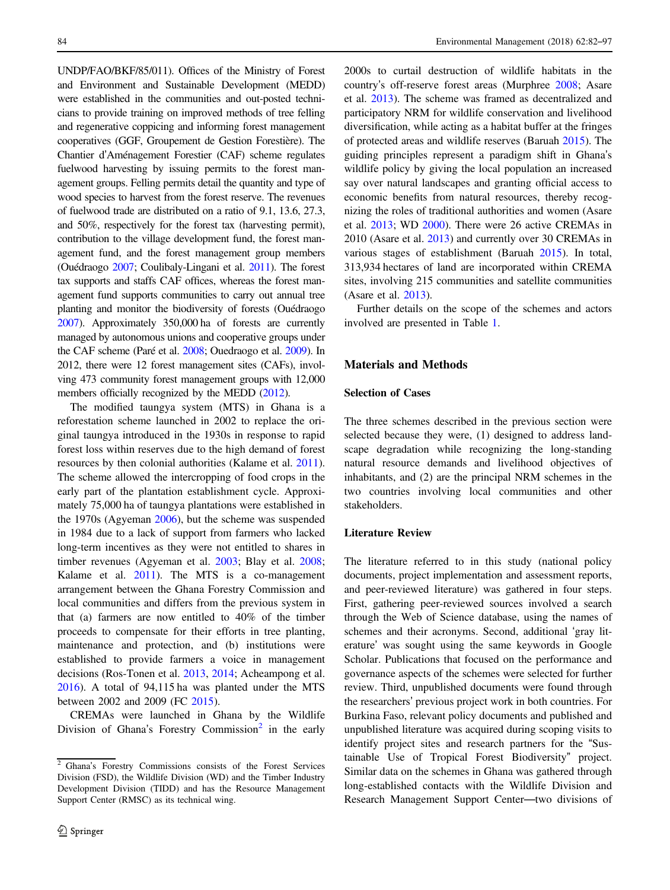UNDP/FAO/BKF/85/011). Offices of the Ministry of Forest and Environment and Sustainable Development (MEDD) were established in the communities and out-posted technicians to provide training on improved methods of tree felling and regenerative coppicing and informing forest management cooperatives (GGF, Groupement de Gestion Forestière). The Chantier d'Aménagement Forestier (CAF) scheme regulates fuelwood harvesting by issuing permits to the forest management groups. Felling permits detail the quantity and type of wood species to harvest from the forest reserve. The revenues of fuelwood trade are distributed on a ratio of 9.1, 13.6, 27.3, and 50%, respectively for the forest tax (harvesting permit), contribution to the village development fund, the forest management fund, and the forest management group members (Ouédraogo [2007](#page-15-0); Coulibaly-Lingani et al. [2011\)](#page-14-0). The forest tax supports and staffs CAF offices, whereas the forest management fund supports communities to carry out annual tree planting and monitor the biodiversity of forests (Ouédraogo [2007](#page-15-0)). Approximately 350,000 ha of forests are currently managed by autonomous unions and cooperative groups under the CAF scheme (Paré et al. [2008;](#page-15-0) Ouedraogo et al. [2009\)](#page-15-0). In 2012, there were 12 forest management sites (CAFs), involving 473 community forest management groups with 12,000 members officially recognized by the MEDD ([2012\)](#page-14-0).

The modified taungya system (MTS) in Ghana is a reforestation scheme launched in 2002 to replace the original taungya introduced in the 1930s in response to rapid forest loss within reserves due to the high demand of forest resources by then colonial authorities (Kalame et al. [2011](#page-14-0)). The scheme allowed the intercropping of food crops in the early part of the plantation establishment cycle. Approximately 75,000 ha of taungya plantations were established in the 1970s (Agyeman [2006](#page-13-0)), but the scheme was suspended in 1984 due to a lack of support from farmers who lacked long-term incentives as they were not entitled to shares in timber revenues (Agyeman et al. [2003](#page-13-0); Blay et al. [2008](#page-14-0); Kalame et al. [2011](#page-14-0)). The MTS is a co-management arrangement between the Ghana Forestry Commission and local communities and differs from the previous system in that (a) farmers are now entitled to 40% of the timber proceeds to compensate for their efforts in tree planting, maintenance and protection, and (b) institutions were established to provide farmers a voice in management decisions (Ros-Tonen et al. [2013](#page-15-0), [2014](#page-15-0); Acheampong et al. [2016\)](#page-13-0). A total of 94,115 ha was planted under the MTS between 2002 and 2009 (FC [2015](#page-14-0)).

CREMAs were launched in Ghana by the Wildlife Division of Ghana's Forestry Commission $2$  in the early

2000s to curtail destruction of wildlife habitats in the country's off-reserve forest areas (Murphree [2008;](#page-15-0) Asare et al. [2013\)](#page-13-0). The scheme was framed as decentralized and participatory NRM for wildlife conservation and livelihood diversification, while acting as a habitat buffer at the fringes of protected areas and wildlife reserves (Baruah [2015](#page-13-0)). The guiding principles represent a paradigm shift in Ghana's wildlife policy by giving the local population an increased say over natural landscapes and granting official access to economic benefits from natural resources, thereby recognizing the roles of traditional authorities and women (Asare et al. [2013;](#page-13-0) WD [2000\)](#page-15-0). There were 26 active CREMAs in 2010 (Asare et al. [2013](#page-13-0)) and currently over 30 CREMAs in various stages of establishment (Baruah [2015\)](#page-13-0). In total, 313,934 hectares of land are incorporated within CREMA sites, involving 215 communities and satellite communities (Asare et al. [2013\)](#page-13-0).

Further details on the scope of the schemes and actors involved are presented in Table [1](#page-4-0).

#### Materials and Methods

# Selection of Cases

The three schemes described in the previous section were selected because they were, (1) designed to address landscape degradation while recognizing the long-standing natural resource demands and livelihood objectives of inhabitants, and (2) are the principal NRM schemes in the two countries involving local communities and other stakeholders.

#### Literature Review

The literature referred to in this study (national policy documents, project implementation and assessment reports, and peer-reviewed literature) was gathered in four steps. First, gathering peer-reviewed sources involved a search through the Web of Science database, using the names of schemes and their acronyms. Second, additional 'gray literature' was sought using the same keywords in Google Scholar. Publications that focused on the performance and governance aspects of the schemes were selected for further review. Third, unpublished documents were found through the researchers' previous project work in both countries. For Burkina Faso, relevant policy documents and published and unpublished literature was acquired during scoping visits to identify project sites and research partners for the "Sustainable Use of Tropical Forest Biodiversity" project. Similar data on the schemes in Ghana was gathered through long-established contacts with the Wildlife Division and Research Management Support Center—two divisions of

<sup>&</sup>lt;sup>2</sup> Ghana's Forestry Commissions consists of the Forest Services Division (FSD), the Wildlife Division (WD) and the Timber Industry Development Division (TIDD) and has the Resource Management Support Center (RMSC) as its technical wing.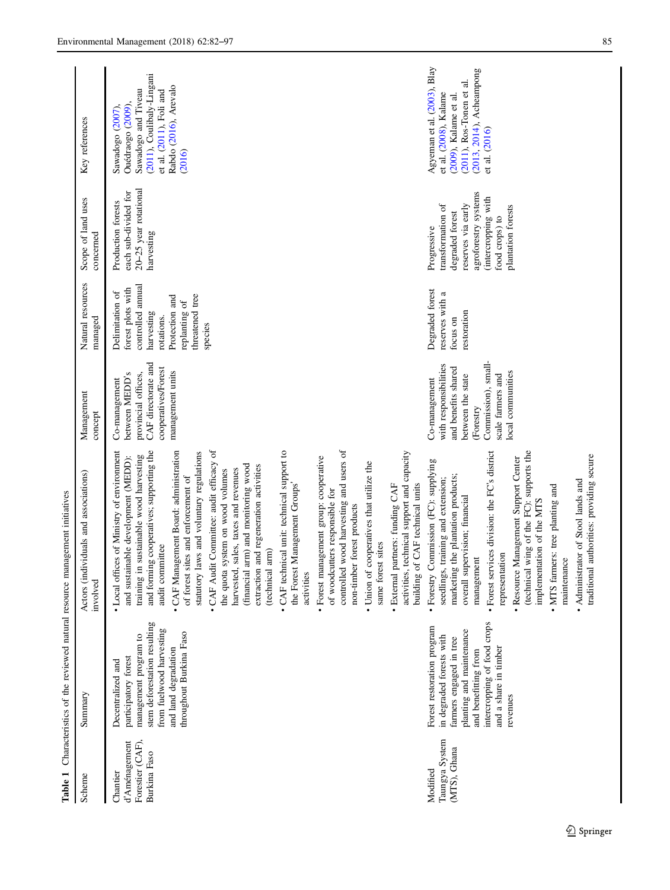<span id="page-4-0"></span>

| Scheme                                                               | Summary                                                                                                                                                                                                   | Actors (individuals and associations)<br>involved                                                                                                                                                                                                                                                                                                                                                                                                                                                                                                                                                                                                                                                                                                                                                                                                                                                                                                            | Management<br>concept                                                                                                                                            | Natural resources<br>managed                                                                                                                           | Scope of land uses<br>concerned                                                                                                                                 | Key references                                                                                                                                          |
|----------------------------------------------------------------------|-----------------------------------------------------------------------------------------------------------------------------------------------------------------------------------------------------------|--------------------------------------------------------------------------------------------------------------------------------------------------------------------------------------------------------------------------------------------------------------------------------------------------------------------------------------------------------------------------------------------------------------------------------------------------------------------------------------------------------------------------------------------------------------------------------------------------------------------------------------------------------------------------------------------------------------------------------------------------------------------------------------------------------------------------------------------------------------------------------------------------------------------------------------------------------------|------------------------------------------------------------------------------------------------------------------------------------------------------------------|--------------------------------------------------------------------------------------------------------------------------------------------------------|-----------------------------------------------------------------------------------------------------------------------------------------------------------------|---------------------------------------------------------------------------------------------------------------------------------------------------------|
| Forestier (CAF),<br>d'Aménagement<br><b>Burkina</b> Faso<br>Chantier | stem deforestation resulting<br>from fuelwood harvesting<br>throughout Burkina Faso<br>management program to<br>and land degradation<br>participatory forest<br>Decentralized and                         | • Local offices of Ministry of environment<br>and forming cooperatives; supporting the<br>• CAF Audit Committee: audit efficacy of<br>CAF technical unit: technical support to<br>controlled wood harvesting and users of<br>• CAF Management Board: administration<br>statutory laws and voluntary regulations<br>activities, technical support and capacity<br>training in sustainable wood harvesting<br>and sustainable development (MEDD):<br>· Forest management group: cooperative<br>• Union of cooperatives that utilize the<br>(financial arm) and monitoring wood<br>extraction and regeneration activities<br>sales, taxes and revenues<br>the quota system on wood volumes<br>of forest sites and enforcement of<br>Management Groups'<br>· External partners: funding CAF<br>of woodcutters responsible for<br>non-timber forest products<br>same forest sites<br>audit committee<br>(technical arm)<br>the Forest<br>harvested,<br>activities | CAF directorate and<br>cooperatives/Forest<br>management units<br>provincial offices,<br>between MEDD's<br>Co-management                                         | controlled annual<br>forest plots with<br>Delimitation of<br>threatened tree<br>Protection and<br>replanting of<br>harvesting<br>rotations.<br>species | 20-25 year rotational<br>each sub-divided for<br>Production forests<br>harvesting                                                                               | (2011), Coulibaly-Lingani<br>Rabdo (2016), Arevalo<br>Sawadogo and Tiveau<br>et al. (2011), Foli and<br>Ouédraogo (2009),<br>Sawadogo (2007),<br>(2016) |
| Taungya System<br>(MTS), Ghana<br>Modified                           | intercropping of food crops<br>Forest restoration program<br>planting and maintenance<br>in degraded forests with<br>farmers engaged in tree<br>and a share in timber<br>and benefitting from<br>revenues | · Forest services division: the FC's district<br>wing of the FC): supports the<br>authorities: providing secure<br>Resource Management Support Center<br>Forestry Commission (FC): supplying<br>the plantation products;<br>seedlings, training and extension;<br>• Administrator of Stool lands and<br>building of CAF technical units<br>• MTS farmers: tree planting and<br>overall supervision; financial<br>implementation of the MTS<br>representation<br>management<br>maintenance<br>marketing<br>(technical<br>traditional                                                                                                                                                                                                                                                                                                                                                                                                                          | Commission), small-<br>with responsibilities<br>and benefits shared<br>local communities<br>between the state<br>scale farmers and<br>Co-management<br>(Forestry | Degraded forest<br>reserves with a<br>restoration<br>focus on                                                                                          | agroforestry systems<br>intercropping with<br>reserves via early<br>transformation of<br>plantation forests<br>degraded forest<br>food crops) to<br>Progressive | Agyeman et al. (2003), Blay<br>(2013, 2014), Acheampong<br>(2011), Ros-Tonen et al.<br>et al. (2008), Kalame<br>(2009), Kalame et al.<br>et al. (2016)  |

 $\underline{\textcircled{\tiny 2}}$  Springer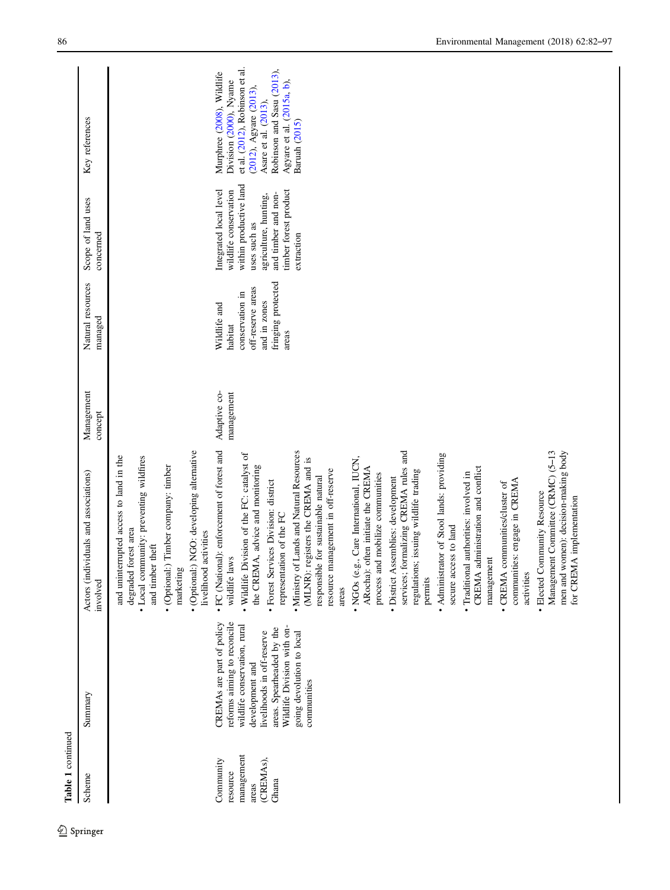| Scheme                                                             | Summary                                                                                                                                                                                                                                          | Actors (individuals and associations)<br>involved                                                                                                                                                                                                                                                                                                                                                                                                                                                                                                                                                                                                                                                                                                                                                                                                                                                                                                                                                                                                      | Management<br>concept      | Natural resources<br>managed                                                                                   | Scope of land uses<br>concerned                                                                                                                                                  | Key references                                                                                                                                                                                                     |
|--------------------------------------------------------------------|--------------------------------------------------------------------------------------------------------------------------------------------------------------------------------------------------------------------------------------------------|--------------------------------------------------------------------------------------------------------------------------------------------------------------------------------------------------------------------------------------------------------------------------------------------------------------------------------------------------------------------------------------------------------------------------------------------------------------------------------------------------------------------------------------------------------------------------------------------------------------------------------------------------------------------------------------------------------------------------------------------------------------------------------------------------------------------------------------------------------------------------------------------------------------------------------------------------------------------------------------------------------------------------------------------------------|----------------------------|----------------------------------------------------------------------------------------------------------------|----------------------------------------------------------------------------------------------------------------------------------------------------------------------------------|--------------------------------------------------------------------------------------------------------------------------------------------------------------------------------------------------------------------|
|                                                                    |                                                                                                                                                                                                                                                  | (Optional:) NGO: developing alternative<br>and uninterrupted access to land in the<br>· Local community: preventing wildfires<br>• (Optional:) Timber company: timber<br>forest area<br>livelihood activities<br>and timber theft<br>marketing<br>degraded                                                                                                                                                                                                                                                                                                                                                                                                                                                                                                                                                                                                                                                                                                                                                                                             |                            |                                                                                                                |                                                                                                                                                                                  |                                                                                                                                                                                                                    |
| management<br>(CREMAS),<br>Community<br>resource<br>Ghana<br>areas | reforms aiming to reconcile<br>CREMAs are part of policy<br>wildlife conservation, rural<br>Wildlife Division with on-<br>areas. Spearheaded by the<br>going devolution to local<br>livelihoods in off-reserve<br>development and<br>communities | · FC (National): enforcement of forest and<br>of Lands and Natural Resources<br>services; formalizing CREMA rules and<br>Management Committee (CRMC) (5-13<br>men and women): decision-making body<br>Division of the FC: catalyst of<br>Administrator of Stool lands: providing<br>(MLNR): registers the CREMA and is<br>· NGOs (e.g., Care International, IUCN,<br>the CREMA, advice and monitoring<br>ARocha): often initiate the CREMA<br>administration and conflict<br>management in off-reserve<br>regulations; issuing wildlife trading<br>· Traditional authorities: involved in<br>process and mobilize communities<br>responsible for sustainable natural<br>· District Assemblies: development<br>communities: engage in CREMA<br>· Forest Services Division: district<br>communities/cluster of<br>· Elected Community Resource<br>for CREMA implementation<br>representation of the FC<br>secure access to land<br>wildlife laws<br>management<br>CREMA<br>activities<br>· Wildlife<br>Ministry<br>CREMA<br>resource<br>permits<br>areas | Adaptive co-<br>management | fringing protected<br>off-reserve areas<br>conservation in<br>and in zones<br>Wildlife and<br>habitat<br>areas | within productive land<br>Integrated local level<br>wildlife conservation<br>timber forest product<br>and timber and non-<br>agriculture, hunting,<br>uses such as<br>extraction | et al. (2012), Robinson et al.<br>Robinson and Sasu (2013),<br>Murphree (2008), Wildlife<br>Division (2000), Nyame<br>Agyare et al. (2015a, b),<br>(2012), Agyare (2013),<br>Asare et al. (2013),<br>Baruah (2015) |

Table 1 continued Table 1 continued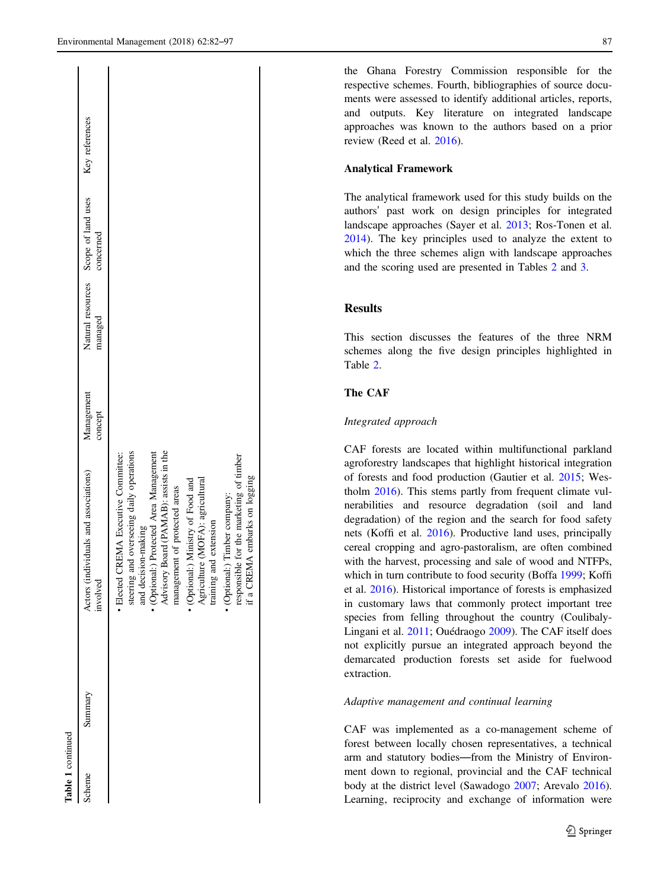| Table 1 continued |         |                                                                                                                                                                                                                                                                                                                                              |                       |         |                                                   |                |  |
|-------------------|---------|----------------------------------------------------------------------------------------------------------------------------------------------------------------------------------------------------------------------------------------------------------------------------------------------------------------------------------------------|-----------------------|---------|---------------------------------------------------|----------------|--|
| Scheme            | Summary | Actors (individuals and associations)<br>involved                                                                                                                                                                                                                                                                                            | Management<br>concept | managed | Natural resources Scope of land uses<br>concerned | Key references |  |
|                   |         | Board (PAMAB): assists in the<br>steering and overseeing daily operations<br><b>CREMA Executive Committee:</b><br>(Optional:) Protected Area Management<br>(Optional:) Ministry of Food and<br>Agriculture (MOFA): agricultural<br>management of protected areas<br>and decision-making<br>training and extension<br>Advisory<br>· Elected ( |                       |         |                                                   |                |  |
|                   |         | responsible for the marketing of timber<br>if a CREMA embarks on logging<br>(Optional:) Timber company:                                                                                                                                                                                                                                      |                       |         |                                                   |                |  |

the Ghana Forestry Commission responsible for the respective schemes. Fourth, bibliographies of source documents were assessed to identify additional articles, reports, and outputs. Key literature on integrated landscape approaches was known to the authors based on a prior review (Reed et al. [2016](#page-15-0)).

#### Analytical Framework

The analytical framework used for this study builds on the authors' past work on design principles for integrated landscape approaches (Sayer et al. [2013;](#page-15-0) Ros-Tonen et al. [2014](#page-15-0)). The key principles used to analyze the extent to which the three schemes align with landscape approaches and the scoring used are presented in Tables [2](#page-7-0) and [3](#page-8-0).

## Results

This section discusses the features of the three NRM schemes along the five design principles highlighted in Table [2.](#page-7-0)

# The CAF

#### Integrated approach

CAF forests are located within multifunctional parkland agroforestry landscapes that highlight historical integration of forests and food production (Gautier et al. [2015;](#page-14-0) Westholm [2016\)](#page-15-0). This stems partly from frequent climate vulnerabilities and resource degradation (soil and land degradation) of the region and the search for food safety nets (Koffi et al. [2016\)](#page-14-0). Productive land uses, principally cereal cropping and agro-pastoralism, are often combined with the harvest, processing and sale of wood and NTFPs, which in turn contribute to food security (Boffa [1999](#page-14-0); Koffi et al. [2016](#page-14-0)). Historical importance of forests is emphasized in customary laws that commonly protect important tree species from felling throughout the country (Coulibaly-Lingani et al. [2011](#page-14-0); Ouédraogo [2009\)](#page-15-0). The CAF itself does not explicitly pursue an integrated approach beyond the demarcated production forests set aside for fuelwood extraction.

#### Adaptive management and continual learning

CAF was implemented as a co-management scheme of forest between locally chosen representatives, a technical arm and statutory bodies—from the Ministry of Environment down to regional, provincial and the CAF technical body at the district level (Sawadogo [2007](#page-15-0); Arevalo [2016\)](#page-13-0). Learning, reciprocity and exchange of information were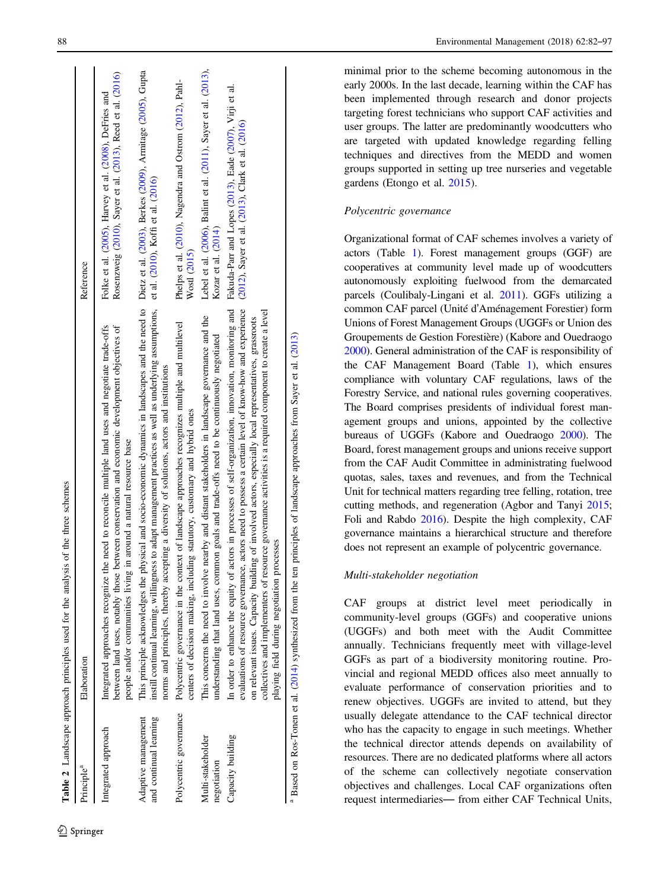<span id="page-7-0"></span>

|                                               | of the three schemes<br>Table 2 Landscape approach principles used for the analysis                                                                                                                                                                                                                                                                                                                                                                                                 |                                                                                                                      |
|-----------------------------------------------|-------------------------------------------------------------------------------------------------------------------------------------------------------------------------------------------------------------------------------------------------------------------------------------------------------------------------------------------------------------------------------------------------------------------------------------------------------------------------------------|----------------------------------------------------------------------------------------------------------------------|
| Principle <sup>a</sup>                        | Elaboration                                                                                                                                                                                                                                                                                                                                                                                                                                                                         | Reference                                                                                                            |
| Integrated approach                           | between land uses, notably those between conservation and economic development objectives of<br>Integrated approaches recognize the need to reconcile multiple land uses and negotiate trade-offs<br>around a natural resource base<br>people and/or communities living in                                                                                                                                                                                                          | Rosenzweig (2010), Sayer et al. (2013), Reed et al. (2016)<br>Folke et al. (2005), Harvey et al. (2008), DeFries and |
| and continual learning<br>Adaptive management | sical and socio-economic dynamics in landscapes and the need to Dietz et al. (2003), Berkes (2009), Armitage (2005), Gupta<br>to adapt management practices as well as underlying assumptions, et al. $(2010)$ , Koffi et al. $(2016)$<br>norms and principles, thereby accepting a diversity of solutions, actors and institutions<br>instill continual learning, willingness<br>This principle acknowledges the phy                                                               |                                                                                                                      |
| Polycentric governance                        | Polycentric governance in the context of landscape approaches recognizes multiple and multilevel<br>centers of decision making, including statutory, customary and hybrid ones                                                                                                                                                                                                                                                                                                      | Phelps et al. (2010), Nagendra and Ostrom (2012), Pahl-<br>Wostl (2015)                                              |
| Multi-stakeholder<br>negotiation              | This concerns the need to involve nearby and distant stakeholders in landscape governance and the<br>understanding that land uses, common goals and trade-offs need to be continuously negotiated                                                                                                                                                                                                                                                                                   | Lebel et al. (2006), Balint et al. (2011), Sayer et al. (2013),<br>Kozar et al. (2014)                               |
| Capacity building                             | In order to enhance the equity of actors in processes of self-organization, innovation, monitoring and<br>evaluations of resource governance, actors need to possess a certain level of know-how and experience<br>collectives and implementers of resource governance activities is a required component to create a level<br>on relevant issues. Capacity building of involved actors, especially local representatives, grassroots<br>playing field during negotiation processes | Fakuda-Parr and Lopes (2013), Eade (2007), Virji et al.<br>(2012), Sayer et al. (2013), Clark et al. (2016)          |
|                                               | <sup>a</sup> Based on Ros-Tonen et al. (2014) synthesized from the ten principles of landscape approaches from Sayer et al. (2013)                                                                                                                                                                                                                                                                                                                                                  |                                                                                                                      |

minimal prior to the scheme becoming autonomous in the early 2000s. In the last decade, learning within the CAF has been implemented through research and donor projects targeting forest technicians who support CAF activities and user groups. The latter are predominantly woodcutters who are targeted with updated knowledge regarding felling techniques and directives from the MEDD and women groups supported in setting up tree nurseries and vegetable gardens (Etongo et al. [2015\)](#page-14-0).

## Polycentric governance

Organizational format of CAF schemes involves a variety of actors (Table [1](#page-4-0)). Forest management groups (GGF) are cooperatives at community level made up of woodcutters autonomously exploiting fuelwood from the demarcated parcels (Coulibaly-Lingani et al. [2011\)](#page-14-0). GGFs utilizing a common CAF parcel (Unité d 'Aménagement Forestier) form Unions of Forest Management Groups (UGGFs or Union des Groupements de Gestion Forestière) (Kabore and Ouedraogo [2000\)](#page-14-0). General administration of the CAF is responsibility of the CAF Management Board (Table [1](#page-4-0)), which ensures compliance with voluntary CAF regulations, laws of the Forestry Service, and national rules governing cooperatives. The Board comprises presidents of individual forest management groups and unions, appointed by the collective bureaus of UGGFs (Kabore and Ouedraogo [2000\)](#page-14-0). The Board, forest management groups and unions receive support from the CAF Audit Committee in administrating fuelwood quotas, sales, taxes and revenues, and from the Technical Unit for technical matters regarding tree felling, rotation, tree cutting methods, and regeneration (Agbor and Tanyi [2015](#page-13-0) ; Foli and Rabdo [2016\)](#page-14-0). Despite the high complexity, CAF governance maintains a hierarchical structure and therefore does not represent an example of polycentric governance.

## Multi-stakeholder negotiation

CAF groups at district level meet periodically in community-level groups (GGFs) and cooperative unions (UGGFs) and both meet with the Audit Committee annually. Technicians frequently meet with village-level GGFs as part of a biodiversity monitoring routine. Provincial and regional MEDD offices also meet annually to evaluate performance of conservation priorities and to renew objectives. UGGFs are invited to attend, but they usually delegate attendance to the CAF technical director who has the capacity to engage in such meetings. Whether the technical director attends depends on availability of resources. There are no dedicated platforms where all actors of the scheme can collectively negotiate conservation objectives and challenges. Local CAF organizations often request intermediaries — from either CAF Technical Units,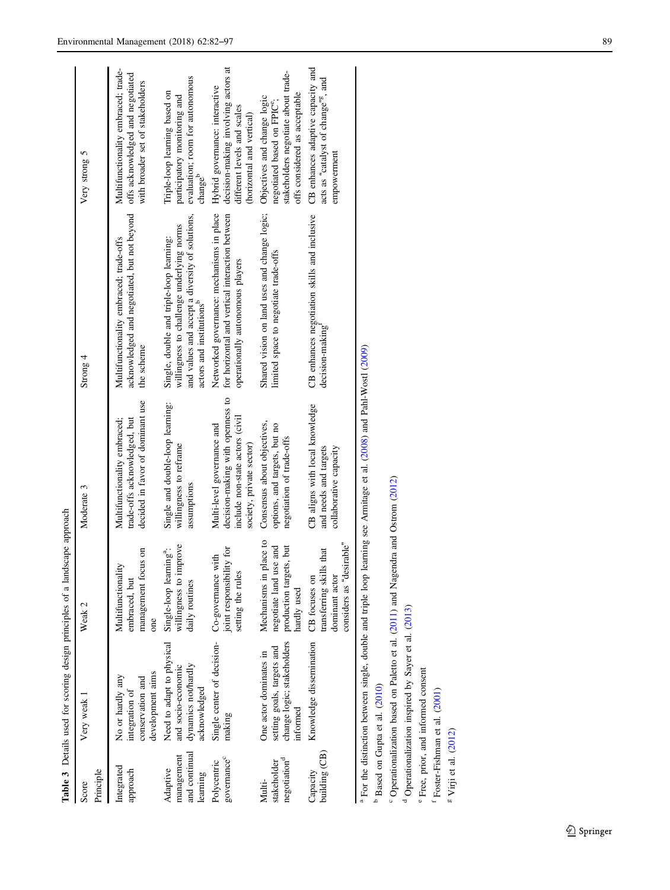<span id="page-8-0"></span>

| Principle<br>Score                                  | Very weak                                                                                      | Weak 2                                                                                          | Moderate 3                                                                                                                    | Strong 4                                                                                                                                                                         | Very strong 5                                                                                                                                |
|-----------------------------------------------------|------------------------------------------------------------------------------------------------|-------------------------------------------------------------------------------------------------|-------------------------------------------------------------------------------------------------------------------------------|----------------------------------------------------------------------------------------------------------------------------------------------------------------------------------|----------------------------------------------------------------------------------------------------------------------------------------------|
| Integrated<br>approach                              | development aims<br>No or hardly any<br>conservation and<br>integration of                     | management focus on<br>Multifunctionality<br>embraced, but<br>one                               | decided in favor of dominant use<br>Multifunctionality embraced;<br>trade-offs acknowledged, but                              | acknowledged and negotiated, but not beyond<br>Multifunctionality embraced; trade-offs<br>the scheme                                                                             | Multifunctionality embraced; trade-<br>offs acknowledged and negotiated<br>with broader set of stakeholders                                  |
| and continual<br>management<br>Adaptive<br>learning | Need to adapt to physical<br>dynamics not/hardly<br>and socio-economic<br>acknowledged         | nprove<br>Single-loop learning <sup>a</sup> :<br>willingness to in<br>daily routines            | Single and double-loop learning:<br>willingness to reframe<br>assumptions                                                     | and values and accept a diversity of solutions,<br>willingness to challenge underlying norms<br>Single, double and triple-loop learning:<br>actors and institutions <sup>b</sup> | evaluation; room for autonomous<br>Triple-loop learning based on<br>participatory monitoring and<br>$change^b$                               |
| governance <sup>c</sup><br>Polycentric              | Single center of decision-<br>making                                                           | joint responsibility for<br>with<br>Co-governance<br>setting the rules                          | decision-making with openness to<br>include non-state actors (civil<br>Multi-level governance and<br>society, private sector) | Networked governance: mechanisms in place<br>for horizontal and vertical interaction between<br>operationally autonomous players                                                 | $\ddot{a}$<br>decision-making involving actors<br>Hybrid governance: interactive<br>different levels and scales<br>(horizontal and vertical) |
| negotiation <sup>d</sup><br>stakeholder<br>Multi-   | change logic; stakeholders<br>setting goals, targets and<br>One actor dominates in<br>informed | place to<br>negotiate land use and<br>production targets, but<br>Mechanisms in p<br>hardly used | Consensus about objectives,<br>options, and targets, but no<br>negotiation of trade-offs                                      | Shared vision on land uses and change logic;<br>limited space to negotiate trade-offs                                                                                            | stakeholders negotiate about trade-<br>offs considered as acceptable<br>Objectives and change logic<br>negotiated based on FPIC°;            |
| building (CB)<br>Capacity                           | Knowledge dissemination                                                                        | considers as "desirable"<br>Is that<br>transferring skill<br>dominant actor<br>CB focuses on    | CB aligns with local knowledge<br>and needs and targets<br>collaborative capacity                                             | CB enhances negotiation skills and inclusive<br>decision-making'                                                                                                                 | CB enhances adaptive capacity and<br>acts as "catalyst of change" <sup>8</sup> , and<br>empowerment                                          |
|                                                     |                                                                                                |                                                                                                 |                                                                                                                               |                                                                                                                                                                                  |                                                                                                                                              |

Table 3 Details used for scoring design principles of a landscape approach

<sup>a</sup> For the distinction between single, double and triple loop learning see Armitage et al. (2008) and Pahl-Wostl (2009) For the distinction between single, double and triple loop learning see Armitage et al. ([2008](#page-13-0)) and Pahl-Wostl ([2009](#page-15-0))

<sup>b</sup> Based on Gupta et al. (2010) Based on Gupta et al. ([2010\)](#page-14-0)

<sup>c</sup> Operationalization based on Paletto et al. (2011) and Nagendra and Ostrom (2012) Operationalization based on Paletto et al. ([2011\)](#page-15-0) and Nagendra and Ostrom [\(2012](#page-15-0))

<sup>d</sup> Operationalization inspired by Sayer et al. (2013) Operationalization inspired by Sayer et al. ([2013\)](#page-15-0)

<sup>e</sup> Free, prior, and informed consent Free, prior, and informed consent

 $^{\rm f}$ Foster-Fishman et al. (2001) Foster-Fishman et al. ([2001](#page-14-0))

<sup>g</sup> Virji et al. (2012) Virji et al. ([2012](#page-15-0))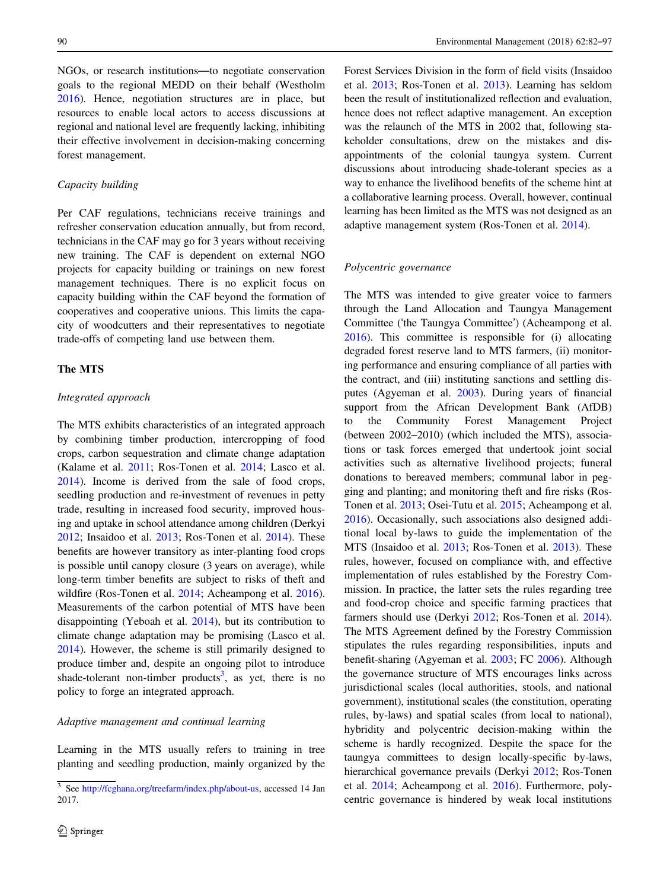NGOs, or research institutions—to negotiate conservation goals to the regional MEDD on their behalf (Westholm [2016\)](#page-15-0). Hence, negotiation structures are in place, but resources to enable local actors to access discussions at regional and national level are frequently lacking, inhibiting their effective involvement in decision-making concerning forest management.

#### Capacity building

Per CAF regulations, technicians receive trainings and refresher conservation education annually, but from record, technicians in the CAF may go for 3 years without receiving new training. The CAF is dependent on external NGO projects for capacity building or trainings on new forest management techniques. There is no explicit focus on capacity building within the CAF beyond the formation of cooperatives and cooperative unions. This limits the capacity of woodcutters and their representatives to negotiate trade-offs of competing land use between them.

## The MTS

#### Integrated approach

The MTS exhibits characteristics of an integrated approach by combining timber production, intercropping of food crops, carbon sequestration and climate change adaptation (Kalame et al. [2011;](#page-14-0) Ros-Tonen et al. [2014;](#page-15-0) Lasco et al. [2014\)](#page-14-0). Income is derived from the sale of food crops, seedling production and re-investment of revenues in petty trade, resulting in increased food security, improved housing and uptake in school attendance among children (Derkyi [2012;](#page-14-0) Insaidoo et al. [2013;](#page-14-0) Ros-Tonen et al. [2014](#page-15-0)). These benefits are however transitory as inter-planting food crops is possible until canopy closure (3 years on average), while long-term timber benefits are subject to risks of theft and wildfire (Ros-Tonen et al. [2014](#page-15-0); Acheampong et al. [2016](#page-13-0)). Measurements of the carbon potential of MTS have been disappointing (Yeboah et al. [2014\)](#page-16-0), but its contribution to climate change adaptation may be promising (Lasco et al. [2014\)](#page-14-0). However, the scheme is still primarily designed to produce timber and, despite an ongoing pilot to introduce shade-tolerant non-timber products<sup>3</sup>, as yet, there is no policy to forge an integrated approach.

#### Adaptive management and continual learning

Learning in the MTS usually refers to training in tree planting and seedling production, mainly organized by the

Forest Services Division in the form of field visits (Insaidoo et al. [2013;](#page-14-0) Ros-Tonen et al. [2013\)](#page-15-0). Learning has seldom been the result of institutionalized reflection and evaluation, hence does not reflect adaptive management. An exception was the relaunch of the MTS in 2002 that, following stakeholder consultations, drew on the mistakes and disappointments of the colonial taungya system. Current discussions about introducing shade-tolerant species as a way to enhance the livelihood benefits of the scheme hint at a collaborative learning process. Overall, however, continual learning has been limited as the MTS was not designed as an adaptive management system (Ros-Tonen et al. [2014](#page-15-0)).

#### Polycentric governance

The MTS was intended to give greater voice to farmers through the Land Allocation and Taungya Management Committee ('the Taungya Committee') (Acheampong et al. [2016](#page-13-0)). This committee is responsible for (i) allocating degraded forest reserve land to MTS farmers, (ii) monitoring performance and ensuring compliance of all parties with the contract, and (iii) instituting sanctions and settling disputes (Agyeman et al. [2003](#page-13-0)). During years of financial support from the African Development Bank (AfDB) to the Community Forest Management Project (between 2002–2010) (which included the MTS), associations or task forces emerged that undertook joint social activities such as alternative livelihood projects; funeral donations to bereaved members; communal labor in pegging and planting; and monitoring theft and fire risks (Ros-Tonen et al. [2013](#page-15-0); Osei-Tutu et al. [2015;](#page-15-0) Acheampong et al. [2016](#page-13-0)). Occasionally, such associations also designed additional local by-laws to guide the implementation of the MTS (Insaidoo et al. [2013](#page-14-0); Ros-Tonen et al. [2013](#page-15-0)). These rules, however, focused on compliance with, and effective implementation of rules established by the Forestry Commission. In practice, the latter sets the rules regarding tree and food-crop choice and specific farming practices that farmers should use (Derkyi [2012;](#page-14-0) Ros-Tonen et al. [2014\)](#page-15-0). The MTS Agreement defined by the Forestry Commission stipulates the rules regarding responsibilities, inputs and benefit-sharing (Agyeman et al. [2003;](#page-13-0) FC [2006\)](#page-14-0). Although the governance structure of MTS encourages links across jurisdictional scales (local authorities, stools, and national government), institutional scales (the constitution, operating rules, by-laws) and spatial scales (from local to national), hybridity and polycentric decision-making within the scheme is hardly recognized. Despite the space for the taungya committees to design locally-specific by-laws, hierarchical governance prevails (Derkyi [2012;](#page-14-0) Ros-Tonen et al. [2014](#page-15-0); Acheampong et al. [2016](#page-13-0)). Furthermore, polycentric governance is hindered by weak local institutions

 $\frac{3}{3}$  See <http://fcghana.org/treefarm/index.php/about-us>, accessed 14 Jan 2017.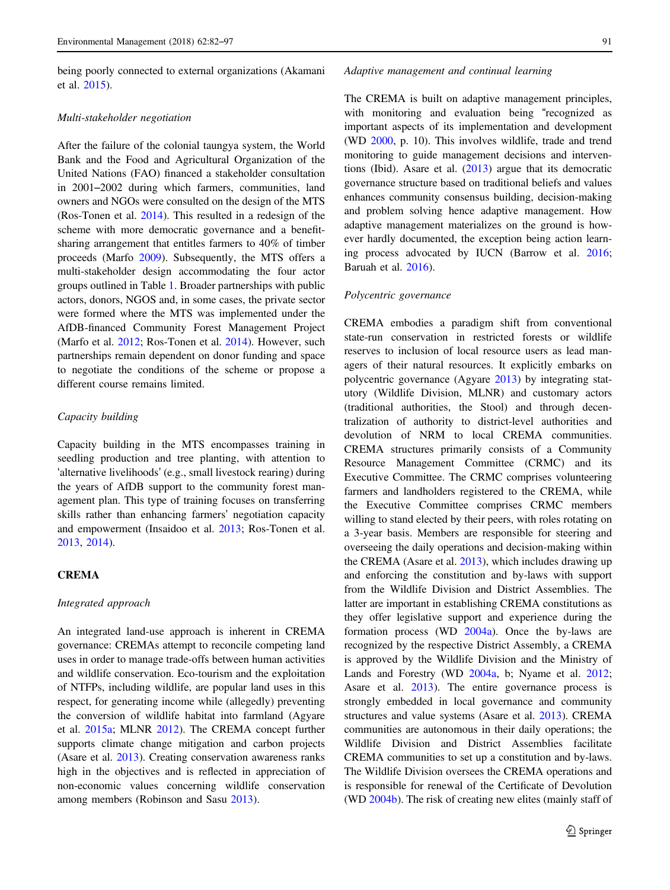being poorly connected to external organizations (Akamani et al. [2015](#page-13-0)).

#### Multi-stakeholder negotiation

After the failure of the colonial taungya system, the World Bank and the Food and Agricultural Organization of the United Nations (FAO) financed a stakeholder consultation in 2001–2002 during which farmers, communities, land owners and NGOs were consulted on the design of the MTS (Ros-Tonen et al. [2014](#page-15-0)). This resulted in a redesign of the scheme with more democratic governance and a benefitsharing arrangement that entitles farmers to 40% of timber proceeds (Marfo [2009\)](#page-14-0). Subsequently, the MTS offers a multi-stakeholder design accommodating the four actor groups outlined in Table [1.](#page-4-0) Broader partnerships with public actors, donors, NGOS and, in some cases, the private sector were formed where the MTS was implemented under the AfDB-financed Community Forest Management Project (Marfo et al. [2012;](#page-14-0) Ros-Tonen et al. [2014](#page-15-0)). However, such partnerships remain dependent on donor funding and space to negotiate the conditions of the scheme or propose a different course remains limited.

#### Capacity building

Capacity building in the MTS encompasses training in seedling production and tree planting, with attention to 'alternative livelihoods' (e.g., small livestock rearing) during the years of AfDB support to the community forest management plan. This type of training focuses on transferring skills rather than enhancing farmers' negotiation capacity and empowerment (Insaidoo et al. [2013;](#page-14-0) Ros-Tonen et al. [2013,](#page-15-0) [2014\)](#page-15-0).

#### **CREMA**

#### Integrated approach

An integrated land-use approach is inherent in CREMA governance: CREMAs attempt to reconcile competing land uses in order to manage trade-offs between human activities and wildlife conservation. Eco-tourism and the exploitation of NTFPs, including wildlife, are popular land uses in this respect, for generating income while (allegedly) preventing the conversion of wildlife habitat into farmland (Agyare et al. [2015a;](#page-13-0) MLNR [2012](#page-15-0)). The CREMA concept further supports climate change mitigation and carbon projects (Asare et al. [2013\)](#page-13-0). Creating conservation awareness ranks high in the objectives and is reflected in appreciation of non-economic values concerning wildlife conservation among members (Robinson and Sasu [2013](#page-15-0)).

#### Adaptive management and continual learning

The CREMA is built on adaptive management principles, with monitoring and evaluation being "recognized as important aspects of its implementation and development (WD [2000,](#page-15-0) p. 10). This involves wildlife, trade and trend monitoring to guide management decisions and interventions (Ibid). Asare et al. [\(2013](#page-13-0)) argue that its democratic governance structure based on traditional beliefs and values enhances community consensus building, decision-making and problem solving hence adaptive management. How adaptive management materializes on the ground is however hardly documented, the exception being action learning process advocated by IUCN (Barrow et al. [2016;](#page-13-0) Baruah et al. [2016](#page-13-0)).

#### Polycentric governance

CREMA embodies a paradigm shift from conventional state-run conservation in restricted forests or wildlife reserves to inclusion of local resource users as lead managers of their natural resources. It explicitly embarks on polycentric governance (Agyare [2013\)](#page-13-0) by integrating statutory (Wildlife Division, MLNR) and customary actors (traditional authorities, the Stool) and through decentralization of authority to district-level authorities and devolution of NRM to local CREMA communities. CREMA structures primarily consists of a Community Resource Management Committee (CRMC) and its Executive Committee. The CRMC comprises volunteering farmers and landholders registered to the CREMA, while the Executive Committee comprises CRMC members willing to stand elected by their peers, with roles rotating on a 3-year basis. Members are responsible for steering and overseeing the daily operations and decision-making within the CREMA (Asare et al. [2013\)](#page-13-0), which includes drawing up and enforcing the constitution and by-laws with support from the Wildlife Division and District Assemblies. The latter are important in establishing CREMA constitutions as they offer legislative support and experience during the formation process (WD [2004a](#page-16-0)). Once the by-laws are recognized by the respective District Assembly, a CREMA is approved by the Wildlife Division and the Ministry of Lands and Forestry (WD [2004a](#page-16-0), b; Nyame et al. [2012;](#page-15-0) Asare et al. [2013\)](#page-13-0). The entire governance process is strongly embedded in local governance and community structures and value systems (Asare et al. [2013\)](#page-13-0). CREMA communities are autonomous in their daily operations; the Wildlife Division and District Assemblies facilitate CREMA communities to set up a constitution and by-laws. The Wildlife Division oversees the CREMA operations and is responsible for renewal of the Certificate of Devolution (WD [2004b](#page-16-0)). The risk of creating new elites (mainly staff of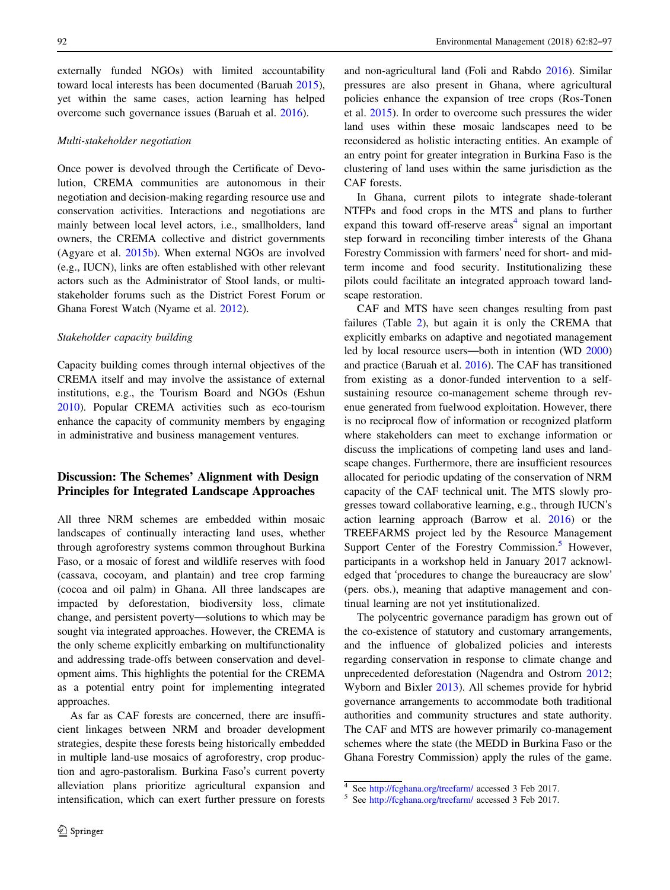externally funded NGOs) with limited accountability toward local interests has been documented (Baruah [2015](#page-13-0)), yet within the same cases, action learning has helped overcome such governance issues (Baruah et al. [2016](#page-13-0)).

#### Multi-stakeholder negotiation

Once power is devolved through the Certificate of Devolution, CREMA communities are autonomous in their negotiation and decision-making regarding resource use and conservation activities. Interactions and negotiations are mainly between local level actors, i.e., smallholders, land owners, the CREMA collective and district governments (Agyare et al. [2015b\)](#page-13-0). When external NGOs are involved (e.g., IUCN), links are often established with other relevant actors such as the Administrator of Stool lands, or multistakeholder forums such as the District Forest Forum or Ghana Forest Watch (Nyame et al. [2012\)](#page-15-0).

#### Stakeholder capacity building

Capacity building comes through internal objectives of the CREMA itself and may involve the assistance of external institutions, e.g., the Tourism Board and NGOs (Eshun [2010\)](#page-14-0). Popular CREMA activities such as eco-tourism enhance the capacity of community members by engaging in administrative and business management ventures.

# Discussion: The Schemes' Alignment with Design Principles for Integrated Landscape Approaches

All three NRM schemes are embedded within mosaic landscapes of continually interacting land uses, whether through agroforestry systems common throughout Burkina Faso, or a mosaic of forest and wildlife reserves with food (cassava, cocoyam, and plantain) and tree crop farming (cocoa and oil palm) in Ghana. All three landscapes are impacted by deforestation, biodiversity loss, climate change, and persistent poverty—solutions to which may be sought via integrated approaches. However, the CREMA is the only scheme explicitly embarking on multifunctionality and addressing trade-offs between conservation and development aims. This highlights the potential for the CREMA as a potential entry point for implementing integrated approaches.

As far as CAF forests are concerned, there are insufficient linkages between NRM and broader development strategies, despite these forests being historically embedded in multiple land-use mosaics of agroforestry, crop production and agro-pastoralism. Burkina Faso's current poverty alleviation plans prioritize agricultural expansion and intensification, which can exert further pressure on forests

and non-agricultural land (Foli and Rabdo [2016](#page-14-0)). Similar pressures are also present in Ghana, where agricultural policies enhance the expansion of tree crops (Ros-Tonen et al. [2015\)](#page-15-0). In order to overcome such pressures the wider land uses within these mosaic landscapes need to be reconsidered as holistic interacting entities. An example of an entry point for greater integration in Burkina Faso is the clustering of land uses within the same jurisdiction as the CAF forests.

In Ghana, current pilots to integrate shade-tolerant NTFPs and food crops in the MTS and plans to further expand this toward off-reserve areas<sup>4</sup> signal an important step forward in reconciling timber interests of the Ghana Forestry Commission with farmers' need for short- and midterm income and food security. Institutionalizing these pilots could facilitate an integrated approach toward landscape restoration.

CAF and MTS have seen changes resulting from past failures (Table [2\)](#page-7-0), but again it is only the CREMA that explicitly embarks on adaptive and negotiated management led by local resource users—both in intention (WD [2000](#page-15-0)) and practice (Baruah et al. [2016](#page-13-0)). The CAF has transitioned from existing as a donor-funded intervention to a selfsustaining resource co-management scheme through revenue generated from fuelwood exploitation. However, there is no reciprocal flow of information or recognized platform where stakeholders can meet to exchange information or discuss the implications of competing land uses and landscape changes. Furthermore, there are insufficient resources allocated for periodic updating of the conservation of NRM capacity of the CAF technical unit. The MTS slowly progresses toward collaborative learning, e.g., through IUCN's action learning approach (Barrow et al. [2016\)](#page-13-0) or the TREEFARMS project led by the Resource Management Support Center of the Forestry Commission. $<sup>5</sup>$  However,</sup> participants in a workshop held in January 2017 acknowledged that 'procedures to change the bureaucracy are slow' (pers. obs.), meaning that adaptive management and continual learning are not yet institutionalized.

The polycentric governance paradigm has grown out of the co-existence of statutory and customary arrangements, and the influence of globalized policies and interests regarding conservation in response to climate change and unprecedented deforestation (Nagendra and Ostrom [2012;](#page-15-0) Wyborn and Bixler [2013\)](#page-16-0). All schemes provide for hybrid governance arrangements to accommodate both traditional authorities and community structures and state authority. The CAF and MTS are however primarily co-management schemes where the state (the MEDD in Burkina Faso or the Ghana Forestry Commission) apply the rules of the game.

<sup>4</sup> See <http://fcghana.org/treefarm/> accessed 3 Feb 2017. <sup>5</sup> See <http://fcghana.org/treefarm/> accessed 3 Feb 2017.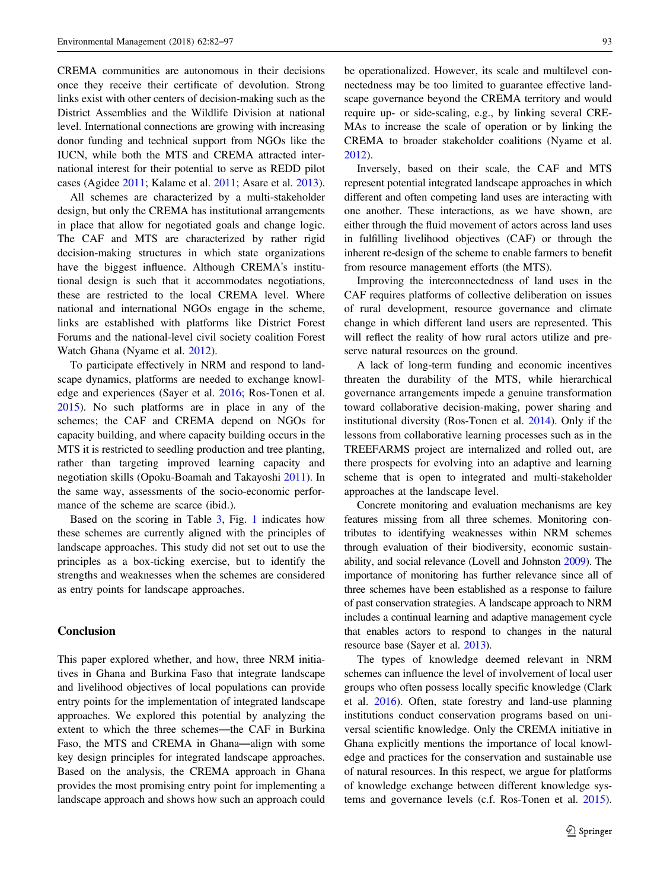CREMA communities are autonomous in their decisions once they receive their certificate of devolution. Strong links exist with other centers of decision-making such as the District Assemblies and the Wildlife Division at national level. International connections are growing with increasing donor funding and technical support from NGOs like the IUCN, while both the MTS and CREMA attracted international interest for their potential to serve as REDD pilot cases (Agidee [2011](#page-13-0); Kalame et al. [2011](#page-14-0); Asare et al. [2013](#page-13-0)).

All schemes are characterized by a multi-stakeholder design, but only the CREMA has institutional arrangements in place that allow for negotiated goals and change logic. The CAF and MTS are characterized by rather rigid decision-making structures in which state organizations have the biggest influence. Although CREMA's institutional design is such that it accommodates negotiations, these are restricted to the local CREMA level. Where national and international NGOs engage in the scheme, links are established with platforms like District Forest Forums and the national-level civil society coalition Forest Watch Ghana (Nyame et al. [2012\)](#page-15-0).

To participate effectively in NRM and respond to landscape dynamics, platforms are needed to exchange knowledge and experiences (Sayer et al. [2016;](#page-15-0) Ros-Tonen et al. [2015\)](#page-15-0). No such platforms are in place in any of the schemes; the CAF and CREMA depend on NGOs for capacity building, and where capacity building occurs in the MTS it is restricted to seedling production and tree planting, rather than targeting improved learning capacity and negotiation skills (Opoku-Boamah and Takayoshi [2011](#page-15-0)). In the same way, assessments of the socio-economic performance of the scheme are scarce (ibid.).

Based on the scoring in Table [3](#page-8-0), Fig. [1](#page-13-0) indicates how these schemes are currently aligned with the principles of landscape approaches. This study did not set out to use the principles as a box-ticking exercise, but to identify the strengths and weaknesses when the schemes are considered as entry points for landscape approaches.

#### **Conclusion**

This paper explored whether, and how, three NRM initiatives in Ghana and Burkina Faso that integrate landscape and livelihood objectives of local populations can provide entry points for the implementation of integrated landscape approaches. We explored this potential by analyzing the extent to which the three schemes—the CAF in Burkina Faso, the MTS and CREMA in Ghana—align with some key design principles for integrated landscape approaches. Based on the analysis, the CREMA approach in Ghana provides the most promising entry point for implementing a landscape approach and shows how such an approach could be operationalized. However, its scale and multilevel connectedness may be too limited to guarantee effective landscape governance beyond the CREMA territory and would require up- or side-scaling, e.g., by linking several CRE-MAs to increase the scale of operation or by linking the CREMA to broader stakeholder coalitions (Nyame et al. [2012](#page-15-0)).

Inversely, based on their scale, the CAF and MTS represent potential integrated landscape approaches in which different and often competing land uses are interacting with one another. These interactions, as we have shown, are either through the fluid movement of actors across land uses in fulfilling livelihood objectives (CAF) or through the inherent re-design of the scheme to enable farmers to benefit from resource management efforts (the MTS).

Improving the interconnectedness of land uses in the CAF requires platforms of collective deliberation on issues of rural development, resource governance and climate change in which different land users are represented. This will reflect the reality of how rural actors utilize and preserve natural resources on the ground.

A lack of long-term funding and economic incentives threaten the durability of the MTS, while hierarchical governance arrangements impede a genuine transformation toward collaborative decision-making, power sharing and institutional diversity (Ros-Tonen et al. [2014\)](#page-15-0). Only if the lessons from collaborative learning processes such as in the TREEFARMS project are internalized and rolled out, are there prospects for evolving into an adaptive and learning scheme that is open to integrated and multi-stakeholder approaches at the landscape level.

Concrete monitoring and evaluation mechanisms are key features missing from all three schemes. Monitoring contributes to identifying weaknesses within NRM schemes through evaluation of their biodiversity, economic sustainability, and social relevance (Lovell and Johnston [2009\)](#page-14-0). The importance of monitoring has further relevance since all of three schemes have been established as a response to failure of past conservation strategies. A landscape approach to NRM includes a continual learning and adaptive management cycle that enables actors to respond to changes in the natural resource base (Sayer et al. [2013\)](#page-15-0).

The types of knowledge deemed relevant in NRM schemes can influence the level of involvement of local user groups who often possess locally specific knowledge (Clark et al. [2016\)](#page-14-0). Often, state forestry and land-use planning institutions conduct conservation programs based on universal scientific knowledge. Only the CREMA initiative in Ghana explicitly mentions the importance of local knowledge and practices for the conservation and sustainable use of natural resources. In this respect, we argue for platforms of knowledge exchange between different knowledge systems and governance levels (c.f. Ros-Tonen et al. [2015\)](#page-15-0).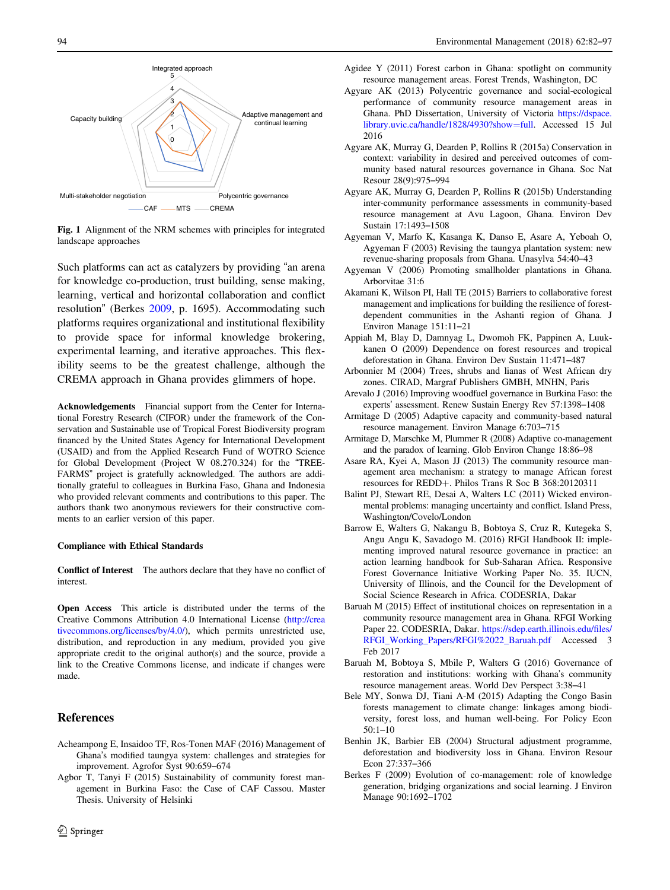<span id="page-13-0"></span>

Fig. 1 Alignment of the NRM schemes with principles for integrated landscape approaches

Such platforms can act as catalyzers by providing "an arena for knowledge co-production, trust building, sense making, learning, vertical and horizontal collaboration and conflict resolution" (Berkes 2009, p. 1695). Accommodating such platforms requires organizational and institutional flexibility to provide space for informal knowledge brokering, experimental learning, and iterative approaches. This flexibility seems to be the greatest challenge, although the CREMA approach in Ghana provides glimmers of hope.

Acknowledgements Financial support from the Center for International Forestry Research (CIFOR) under the framework of the Conservation and Sustainable use of Tropical Forest Biodiversity program financed by the United States Agency for International Development (USAID) and from the Applied Research Fund of WOTRO Science for Global Development (Project W 08.270.324) for the "TREE-FARMS" project is gratefully acknowledged. The authors are additionally grateful to colleagues in Burkina Faso, Ghana and Indonesia who provided relevant comments and contributions to this paper. The authors thank two anonymous reviewers for their constructive comments to an earlier version of this paper.

#### Compliance with Ethical Standards

Conflict of Interest The authors declare that they have no conflict of interest.

Open Access This article is distributed under the terms of the Creative Commons Attribution 4.0 International License [\(http://crea](http://creativecommons.org/licenses/by/4.0/) [tivecommons.org/licenses/by/4.0/](http://creativecommons.org/licenses/by/4.0/)), which permits unrestricted use, distribution, and reproduction in any medium, provided you give appropriate credit to the original author(s) and the source, provide a link to the Creative Commons license, and indicate if changes were made.

## References

- Acheampong E, Insaidoo TF, Ros-Tonen MAF (2016) Management of Ghana's modified taungya system: challenges and strategies for improvement. Agrofor Syst 90:659–674
- Agbor T, Tanyi F (2015) Sustainability of community forest management in Burkina Faso: the Case of CAF Cassou. Master Thesis. University of Helsinki
- Agidee Y (2011) Forest carbon in Ghana: spotlight on community resource management areas. Forest Trends, Washington, DC
- Agyare AK (2013) Polycentric governance and social-ecological performance of community resource management areas in Ghana. PhD Dissertation, University of Victoria [https://dspace.](https://dspace.library.uvic.�ca/handle/1828/4930?show=full) [library.uvic.ca/handle/1828/4930?show](https://dspace.library.uvic.�ca/handle/1828/4930?show=full)=full. Accessed 15 Jul 2016
- Agyare AK, Murray G, Dearden P, Rollins R (2015a) Conservation in context: variability in desired and perceived outcomes of community based natural resources governance in Ghana. Soc Nat Resour 28(9):975–994
- Agyare AK, Murray G, Dearden P, Rollins R (2015b) Understanding inter-community performance assessments in community-based resource management at Avu Lagoon, Ghana. Environ Dev Sustain 17:1493–1508
- Agyeman V, Marfo K, Kasanga K, Danso E, Asare A, Yeboah O, Agyeman F (2003) Revising the taungya plantation system: new revenue-sharing proposals from Ghana. Unasylva 54:40–43
- Agyeman V (2006) Promoting smallholder plantations in Ghana. Arborvitae 31:6
- Akamani K, Wilson PI, Hall TE (2015) Barriers to collaborative forest management and implications for building the resilience of forestdependent communities in the Ashanti region of Ghana. J Environ Manage 151:11–21
- Appiah M, Blay D, Damnyag L, Dwomoh FK, Pappinen A, Luukkanen O (2009) Dependence on forest resources and tropical deforestation in Ghana. Environ Dev Sustain 11:471–487
- Arbonnier M (2004) Trees, shrubs and lianas of West African dry zones. CIRAD, Margraf Publishers GMBH, MNHN, Paris
- Arevalo J (2016) Improving woodfuel governance in Burkina Faso: the experts' assessment. Renew Sustain Energy Rev 57:1398–1408
- Armitage D (2005) Adaptive capacity and community-based natural resource management. Environ Manage 6:703–715
- Armitage D, Marschke M, Plummer R (2008) Adaptive co-management and the paradox of learning. Glob Environ Change 18:86–98
- Asare RA, Kyei A, Mason JJ (2013) The community resource management area mechanism: a strategy to manage African forest resources for REDD+. Philos Trans R Soc B 368:20120311
- Balint PJ, Stewart RE, Desai A, Walters LC (2011) Wicked environmental problems: managing uncertainty and conflict. Island Press, Washington/Covelo/London
- Barrow E, Walters G, Nakangu B, Bobtoya S, Cruz R, Kutegeka S, Angu Angu K, Savadogo M. (2016) RFGI Handbook II: implementing improved natural resource governance in practice: an action learning handbook for Sub-Saharan Africa. Responsive Forest Governance Initiative Working Paper No. 35. IUCN, University of Illinois, and the Council for the Development of Social Science Research in Africa. CODESRIA, Dakar
- Baruah M (2015) Effect of institutional choices on representation in a community resource management area in Ghana. RFGI Working Paper 22. CODESRIA, Dakar. [https://sdep.earth.illinois.edu/](https://sdep.earth.illinois.edu/files/RFGI_Working_Papers/RFGI%2022_Baruah.pdf)files/ [RFGI\\_Working\\_Papers/RFGI%2022\\_Baruah.pdf](https://sdep.earth.illinois.edu/files/RFGI_Working_Papers/RFGI%2022_Baruah.pdf) Accessed 3 Feb 2017
- Baruah M, Bobtoya S, Mbile P, Walters G (2016) Governance of restoration and institutions: working with Ghana's community resource management areas. World Dev Perspect 3:38–41
- Bele MY, Sonwa DJ, Tiani A-M (2015) Adapting the Congo Basin forests management to climate change: linkages among biodiversity, forest loss, and human well-being. For Policy Econ 50:1–10
- Benhin JK, Barbier EB (2004) Structural adjustment programme, deforestation and biodiversity loss in Ghana. Environ Resour Econ 27:337–366
- Berkes F (2009) Evolution of co-management: role of knowledge generation, bridging organizations and social learning. J Environ Manage 90:1692–1702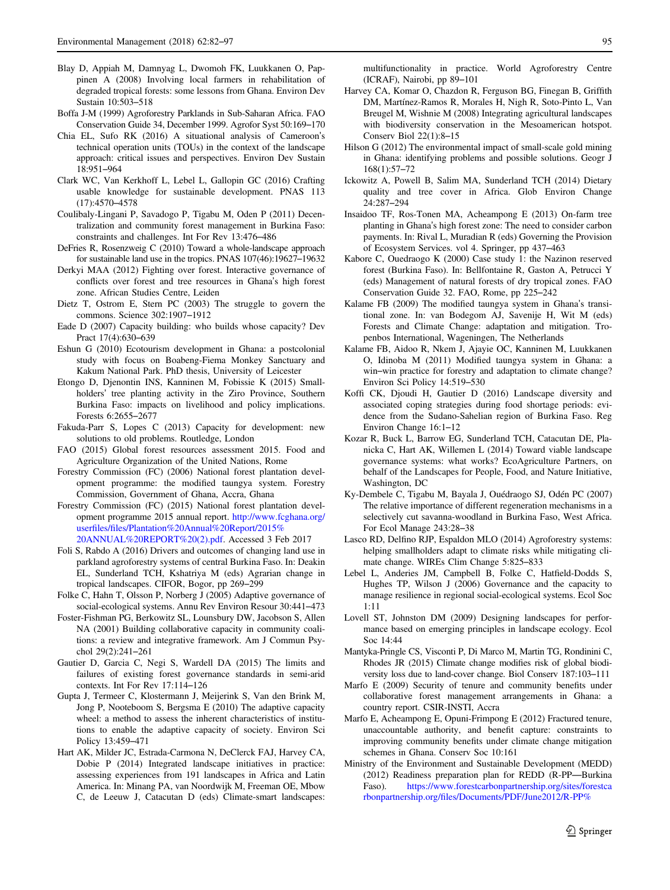- <span id="page-14-0"></span>Blay D, Appiah M, Damnyag L, Dwomoh FK, Luukkanen O, Pappinen A (2008) Involving local farmers in rehabilitation of degraded tropical forests: some lessons from Ghana. Environ Dev Sustain 10:503–518
- Boffa J-M (1999) Agroforestry Parklands in Sub-Saharan Africa. FAO Conservation Guide 34, December 1999. Agrofor Syst 50:169–170
- Chia EL, Sufo RK (2016) A situational analysis of Cameroon's technical operation units (TOUs) in the context of the landscape approach: critical issues and perspectives. Environ Dev Sustain 18:951–964
- Clark WC, Van Kerkhoff L, Lebel L, Gallopin GC (2016) Crafting usable knowledge for sustainable development. PNAS 113 (17):4570–4578
- Coulibaly-Lingani P, Savadogo P, Tigabu M, Oden P (2011) Decentralization and community forest management in Burkina Faso: constraints and challenges. Int For Rev 13:476–486
- DeFries R, Rosenzweig C (2010) Toward a whole-landscape approach for sustainable land use in the tropics. PNAS 107(46):19627–19632
- Derkyi MAA (2012) Fighting over forest. Interactive governance of conflicts over forest and tree resources in Ghana's high forest zone. African Studies Centre, Leiden
- Dietz T, Ostrom E, Stern PC (2003) The struggle to govern the commons. Science 302:1907–1912
- Eade D (2007) Capacity building: who builds whose capacity? Dev Pract 17(4):630–639
- Eshun G (2010) Ecotourism development in Ghana: a postcolonial study with focus on Boabeng-Fiema Monkey Sanctuary and Kakum National Park. PhD thesis, University of Leicester
- Etongo D, Djenontin INS, Kanninen M, Fobissie K (2015) Smallholders' tree planting activity in the Ziro Province, Southern Burkina Faso: impacts on livelihood and policy implications. Forests 6:2655–2677
- Fakuda-Parr S, Lopes C (2013) Capacity for development: new solutions to old problems. Routledge, London
- FAO (2015) Global forest resources assessment 2015. Food and Agriculture Organization of the United Nations, Rome
- Forestry Commission (FC) (2006) National forest plantation development programme: the modified taungya system. Forestry Commission, Government of Ghana, Accra, Ghana
- Forestry Commission (FC) (2015) National forest plantation development programme 2015 annual report. [http://www.fcghana.org/](http://www.fcghana.org/userfiles/files/Plantation%20Annual%20Report/2015%20ANNUAL%20REPORT%20(2).pdf) userfiles/fi[les/Plantation%20Annual%20Report/2015%](http://www.fcghana.org/userfiles/files/Plantation%20Annual%20Report/2015%20ANNUAL%20REPORT%20(2).pdf) [20ANNUAL%20REPORT%20\(2\).pdf](http://www.fcghana.org/userfiles/files/Plantation%20Annual%20Report/2015%20ANNUAL%20REPORT%20(2).pdf). Accessed 3 Feb 2017
- Foli S, Rabdo A (2016) Drivers and outcomes of changing land use in parkland agroforestry systems of central Burkina Faso. In: Deakin EL, Sunderland TCH, Kshatriya M (eds) Agrarian change in tropical landscapes. CIFOR, Bogor, pp 269–299
- Folke C, Hahn T, Olsson P, Norberg J (2005) Adaptive governance of social-ecological systems. Annu Rev Environ Resour 30:441–473
- Foster-Fishman PG, Berkowitz SL, Lounsbury DW, Jacobson S, Allen NA (2001) Building collaborative capacity in community coalitions: a review and integrative framework. Am J Commun Psychol 29(2):241–261
- Gautier D, Garcia C, Negi S, Wardell DA (2015) The limits and failures of existing forest governance standards in semi-arid contexts. Int For Rev 17:114–126
- Gupta J, Termeer C, Klostermann J, Meijerink S, Van den Brink M, Jong P, Nooteboom S, Bergsma E (2010) The adaptive capacity wheel: a method to assess the inherent characteristics of institutions to enable the adaptive capacity of society. Environ Sci Policy 13:459–471
- Hart AK, Milder JC, Estrada-Carmona N, DeClerck FAJ, Harvey CA, Dobie P (2014) Integrated landscape initiatives in practice: assessing experiences from 191 landscapes in Africa and Latin America. In: Minang PA, van Noordwijk M, Freeman OE, Mbow C, de Leeuw J, Catacutan D (eds) Climate-smart landscapes:

multifunctionality in practice. World Agroforestry Centre (ICRAF), Nairobi, pp 89–101

- Harvey CA, Komar O, Chazdon R, Ferguson BG, Finegan B, Griffith DM, Martínez-Ramos R, Morales H, Nigh R, Soto-Pinto L, Van Breugel M, Wishnie M (2008) Integrating agricultural landscapes with biodiversity conservation in the Mesoamerican hotspot. Conserv Biol 22(1):8–15
- Hilson G (2012) The environmental impact of small-scale gold mining in Ghana: identifying problems and possible solutions. Geogr J 168(1):57–72
- Ickowitz A, Powell B, Salim MA, Sunderland TCH (2014) Dietary quality and tree cover in Africa. Glob Environ Change 24:287–294
- Insaidoo TF, Ros-Tonen MA, Acheampong E (2013) On-farm tree planting in Ghana's high forest zone: The need to consider carbon payments. In: Rival L, Muradian R (eds) Governing the Provision of Ecosystem Services. vol 4. Springer, pp 437–463
- Kabore C, Ouedraogo K (2000) Case study 1: the Nazinon reserved forest (Burkina Faso). In: Bellfontaine R, Gaston A, Petrucci Y (eds) Management of natural forests of dry tropical zones. FAO Conservation Guide 32. FAO, Rome, pp 225–242
- Kalame FB (2009) The modified taungya system in Ghana's transitional zone. In: van Bodegom AJ, Savenije H, Wit M (eds) Forests and Climate Change: adaptation and mitigation. Tropenbos International, Wageningen, The Netherlands
- Kalame FB, Aidoo R, Nkem J, Ajayie OC, Kanninen M, Luukkanen O, Idinoba M (2011) Modified taungya system in Ghana: a win–win practice for forestry and adaptation to climate change? Environ Sci Policy 14:519–530
- Koffi CK, Djoudi H, Gautier D (2016) Landscape diversity and associated coping strategies during food shortage periods: evidence from the Sudano-Sahelian region of Burkina Faso. Reg Environ Change 16:1–12
- Kozar R, Buck L, Barrow EG, Sunderland TCH, Catacutan DE, Planicka C, Hart AK, Willemen L (2014) Toward viable landscape governance systems: what works? EcoAgriculture Partners, on behalf of the Landscapes for People, Food, and Nature Initiative, Washington, DC
- Ky-Dembele C, Tigabu M, Bayala J, Ouédraogo SJ, Odén PC (2007) The relative importance of different regeneration mechanisms in a selectively cut savanna-woodland in Burkina Faso, West Africa. For Ecol Manage 243:28–38
- Lasco RD, Delfino RJP, Espaldon MLO (2014) Agroforestry systems: helping smallholders adapt to climate risks while mitigating climate change. WIREs Clim Change 5:825–833
- Lebel L, Anderies JM, Campbell B, Folke C, Hatfield-Dodds S, Hughes TP, Wilson J (2006) Governance and the capacity to manage resilience in regional social-ecological systems. Ecol Soc 1:11
- Lovell ST, Johnston DM (2009) Designing landscapes for performance based on emerging principles in landscape ecology. Ecol Soc 14:44
- Mantyka-Pringle CS, Visconti P, Di Marco M, Martin TG, Rondinini C, Rhodes JR (2015) Climate change modifies risk of global biodiversity loss due to land-cover change. Biol Conserv 187:103–111
- Marfo E (2009) Security of tenure and community benefits under collaborative forest management arrangements in Ghana: a country report. CSIR-INSTI, Accra
- Marfo E, Acheampong E, Opuni-Frimpong E (2012) Fractured tenure, unaccountable authority, and benefit capture: constraints to improving community benefits under climate change mitigation schemes in Ghana. Conserv Soc 10:161
- Ministry of the Environment and Sustainable Development (MEDD) (2012) Readiness preparation plan for REDD (R-PP—Burkina Faso). [https://www.forestcarbonpartnership.org/sites/forestca](https://www.forestcarbonpartnership.org/sites/forestcarbonpartnership.org/files/Documents/PDF/June2012/R-PP%20Burkina%20English-%20FINAL%20June%202012.pdf) rbonpartnership.org/fi[les/Documents/PDF/June2012/R-PP%](https://www.forestcarbonpartnership.org/sites/forestcarbonpartnership.org/files/Documents/PDF/June2012/R-PP%20Burkina%20English-%20FINAL%20June%202012.pdf)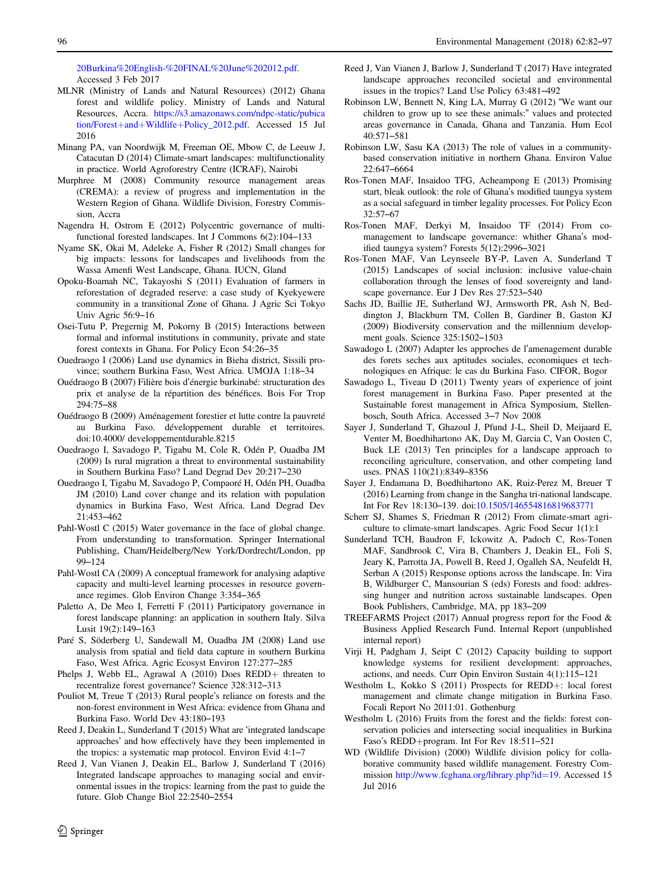<span id="page-15-0"></span>[20Burkina%20English-%20FINAL%20June%202012.pdf](https://www.forestcarbonpartnership.org/sites/forestcarbonpartnership.org/files/Documents/PDF/June2012/R-PP%20Burkina%20English-%20FINAL%20June%202012.pdf). Accessed 3 Feb 2017

- MLNR (Ministry of Lands and Natural Resources) (2012) Ghana forest and wildlife policy. Ministry of Lands and Natural Resources, Accra. [https://s3.amazonaws.com/ndpc-static/pubica](https://s3.amazonaws.com/ndpc-static/pubication/Forest+and+Wildlife+Policy_2012.pdf) tion/Forest+and+Wildlife+[Policy\\_2012.pdf.](https://s3.amazonaws.com/ndpc-static/pubication/Forest+and+Wildlife+Policy_2012.pdf) Accessed 15 Jul 2016
- Minang PA, van Noordwijk M, Freeman OE, Mbow C, de Leeuw J, Catacutan D (2014) Climate-smart landscapes: multifunctionality in practice. World Agroforestry Centre (ICRAF), Nairobi
- Murphree M (2008) Community resource management areas (CREMA): a review of progress and implementation in the Western Region of Ghana. Wildlife Division, Forestry Commission, Accra
- Nagendra H, Ostrom E (2012) Polycentric governance of multifunctional forested landscapes. Int J Commons 6(2):104–133
- Nyame SK, Okai M, Adeleke A, Fisher R (2012) Small changes for big impacts: lessons for landscapes and livelihoods from the Wassa Amenfi West Landscape, Ghana. IUCN, Gland
- Opoku-Boamah NC, Takayoshi S (2011) Evaluation of farmers in reforestation of degraded reserve: a case study of Kyekyewere community in a transitional Zone of Ghana. J Agric Sci Tokyo Univ Agric 56:9–16
- Osei-Tutu P, Pregernig M, Pokorny B (2015) Interactions between formal and informal institutions in community, private and state forest contexts in Ghana. For Policy Econ 54:26–35
- Ouedraogo I (2006) Land use dynamics in Bieha district, Sissili province; southern Burkina Faso, West Africa. UMOJA 1:18–34
- Ouédraogo B (2007) Filière bois d'énergie burkinabé: structuration des prix et analyse de la répartition des bénéfices. Bois For Trop 294:75–88
- Ouédraogo B (2009) Aménagement forestier et lutte contre la pauvreté au Burkina Faso. développement durable et territoires. doi:10.4000/ developpementdurable.8215
- Ouedraogo I, Savadogo P, Tigabu M, Cole R, Odén P, Ouadba JM (2009) Is rural migration a threat to environmental sustainability in Southern Burkina Faso? Land Degrad Dev 20:217–230
- Ouedraogo I, Tigabu M, Savadogo P, Compaoré H, Odén PH, Ouadba JM (2010) Land cover change and its relation with population dynamics in Burkina Faso, West Africa. Land Degrad Dev 21:453–462
- Pahl-Wostl C (2015) Water governance in the face of global change. From understanding to transformation. Springer International Publishing, Cham/Heidelberg/New York/Dordrecht/London, pp 99–124
- Pahl-Wostl CA (2009) A conceptual framework for analysing adaptive capacity and multi-level learning processes in resource governance regimes. Glob Environ Change 3:354–365
- Paletto A, De Meo I, Ferretti F (2011) Participatory governance in forest landscape planning: an application in southern Italy. Silva Lusit 19(2):149–163
- Paré S, Söderberg U, Sandewall M, Ouadba JM (2008) Land use analysis from spatial and field data capture in southern Burkina Faso, West Africa. Agric Ecosyst Environ 127:277–285
- Phelps J, Webb EL, Agrawal A (2010) Does REDD+ threaten to recentralize forest governance? Science 328:312–313
- Pouliot M, Treue T (2013) Rural people's reliance on forests and the non-forest environment in West Africa: evidence from Ghana and Burkina Faso. World Dev 43:180–193
- Reed J, Deakin L, Sunderland T (2015) What are 'integrated landscape approaches' and how effectively have they been implemented in the tropics: a systematic map protocol. Environ Evid 4:1–7
- Reed J, Van Vianen J, Deakin EL, Barlow J, Sunderland T (2016) Integrated landscape approaches to managing social and environmental issues in the tropics: learning from the past to guide the future. Glob Change Biol 22:2540–2554
- Reed J, Van Vianen J, Barlow J, Sunderland T (2017) Have integrated landscape approaches reconciled societal and environmental issues in the tropics? Land Use Policy 63:481–492
- Robinson LW, Bennett N, King LA, Murray G (2012) "We want our children to grow up to see these animals:" values and protected areas governance in Canada, Ghana and Tanzania. Hum Ecol 40:571–581
- Robinson LW, Sasu KA (2013) The role of values in a communitybased conservation initiative in northern Ghana. Environ Value 22:647–6664
- Ros-Tonen MAF, Insaidoo TFG, Acheampong E (2013) Promising start, bleak outlook: the role of Ghana's modified taungya system as a social safeguard in timber legality processes. For Policy Econ 32:57–67
- Ros-Tonen MAF, Derkyi M, Insaidoo TF (2014) From comanagement to landscape governance: whither Ghana's modified taungya system? Forests 5(12):2996–3021
- Ros-Tonen MAF, Van Leynseele BY-P, Laven A, Sunderland T (2015) Landscapes of social inclusion: inclusive value-chain collaboration through the lenses of food sovereignty and landscape governance. Eur J Dev Res 27:523–540
- Sachs JD, Baillie JE, Sutherland WJ, Armsworth PR, Ash N, Beddington J, Blackburn TM, Collen B, Gardiner B, Gaston KJ (2009) Biodiversity conservation and the millennium development goals. Science 325:1502–1503
- Sawadogo L (2007) Adapter les approches de l'amenagement durable des forets seches aux aptitudes sociales, economiques et technologiques en Afrique: le cas du Burkina Faso. CIFOR, Bogor
- Sawadogo L, Tiveau D (2011) Twenty years of experience of joint forest management in Burkina Faso. Paper presented at the Sustainable forest management in Africa Symposium, Stellenbosch, South Africa. Accessed 3-7 Nov 2008
- Sayer J, Sunderland T, Ghazoul J, Pfund J-L, Sheil D, Meijaard E, Venter M, Boedhihartono AK, Day M, Garcia C, Van Oosten C, Buck LE (2013) Ten principles for a landscape approach to reconciling agriculture, conservation, and other competing land uses. PNAS 110(21):8349–8356
- Sayer J, Endamana D, Boedhihartono AK, Ruiz-Perez M, Breuer T (2016) Learning from change in the Sangha tri-national landscape. Int For Rev 18:130–139. doi[:10.1505/146554816819683771](http://dx.doi.org/10.1505/146554816819683771)
- Scherr SJ, Shames S, Friedman R (2012) From climate-smart agriculture to climate-smart landscapes. Agric Food Secur 1(1):1
- Sunderland TCH, Baudron F, Ickowitz A, Padoch C, Ros-Tonen MAF, Sandbrook C, Vira B, Chambers J, Deakin EL, Foli S, Jeary K, Parrotta JA, Powell B, Reed J, Ogalleh SA, Neufeldt H, Serban A (2015) Response options across the landscape. In: Vira B, Wildburger C, Mansourian S (eds) Forests and food: addressing hunger and nutrition across sustainable landscapes. Open Book Publishers, Cambridge, MA, pp 183–209
- TREEFARMS Project (2017) Annual progress report for the Food & Business Applied Research Fund. Internal Report (unpublished internal report)
- Virji H, Padgham J, Seipt C (2012) Capacity building to support knowledge systems for resilient development: approaches, actions, and needs. Curr Opin Environ Sustain 4(1):115–121
- Westholm L, Kokko S (2011) Prospects for REDD+: local forest management and climate change mitigation in Burkina Faso. Focali Report No 2011:01. Gothenburg
- Westholm L (2016) Fruits from the forest and the fields: forest conservation policies and intersecting social inequalities in Burkina Faso's REDD+program. Int For Rev 18:511–521
- WD (Wildlife Division) (2000) Wildlife division policy for collaborative community based wildlife management. Forestry Commission [http://www.fcghana.org/library.php?id](http://www.fcghana.org/library.php?id=19)=19. Accessed 15 Jul 2016